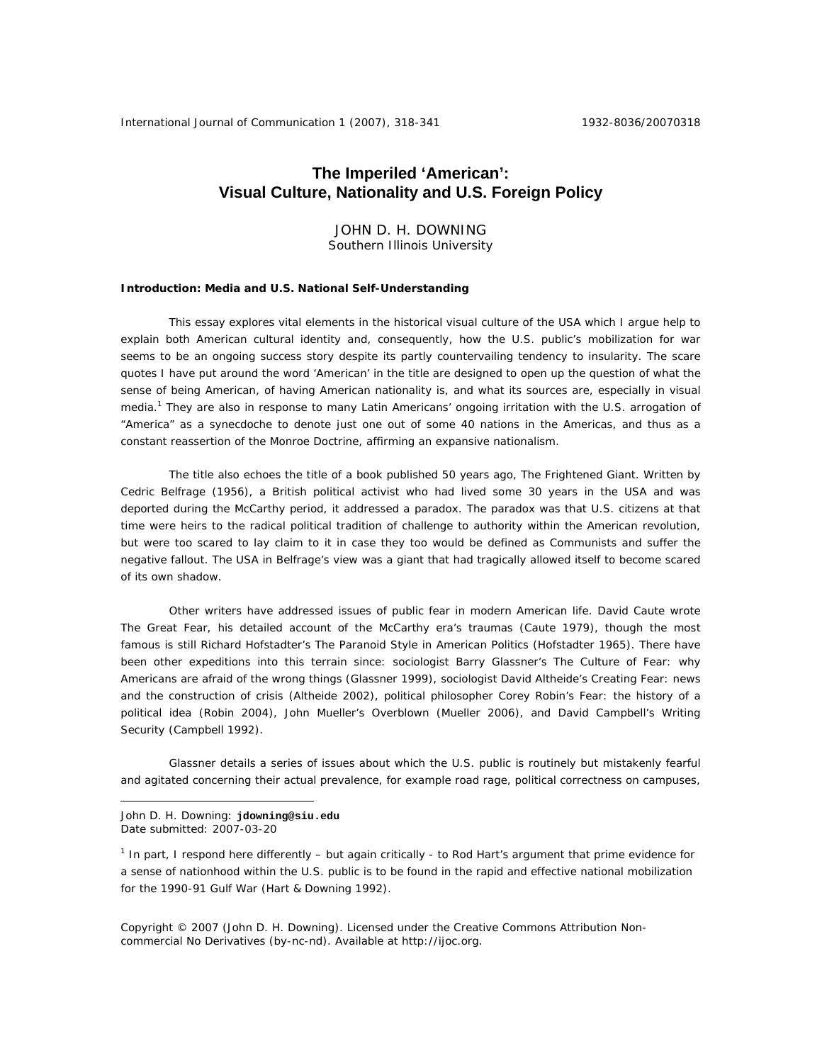## **The Imperiled 'American': Visual Culture, Nationality and U.S. Foreign Policy**

JOHN D. H. DOWNING Southern Illinois University

### **Introduction: Media and U.S. National Self-Understanding**

This essay explores vital elements in the historical visual culture of the USA which I argue help to explain both American cultural identity and, consequently, how the U.S. public's mobilization for war seems to be an ongoing success story despite its partly countervailing tendency to insularity. The scare quotes I have put around the word 'American' in the title are designed to open up the question of what the sense of being American, of having American nationality is, and what its sources are, especially in visual media.<sup>1</sup> They are also in response to many Latin Americans' ongoing irritation with the U.S. arrogation of "America" as a synecdoche to denote just one out of some 40 nations in the Americas, and thus as a constant reassertion of the Monroe Doctrine, affirming an expansive nationalism.

The title also echoes the title of a book published 50 years ago, *The Frightened Giant*. Written by Cedric Belfrage (1956), a British political activist who had lived some 30 years in the USA and was deported during the McCarthy period, it addressed a paradox. The paradox was that U.S. citizens at that time were heirs to the radical political tradition of challenge to authority within the American revolution, but were too scared to lay claim to it in case they too would be defined as Communists and suffer the negative fallout. The USA in Belfrage's view was a giant that had tragically allowed itself to become scared of its own shadow.

Other writers have addressed issues of public fear in modern American life. David Caute wrote *The Great Fear*, his detailed account of the McCarthy era's traumas (Caute 1979), though the most famous is still Richard Hofstadter's *The Paranoid Style in American Politics* (Hofstadter 1965). There have been other expeditions into this terrain since: sociologist Barry Glassner's *The Culture of Fear: why Americans are afraid of the wrong things* (Glassner 1999), sociologist David Altheide's *Creating Fear: news and the construction of crisis* (Altheide 2002), political philosopher Corey Robin's *Fear: the history of a political idea* (Robin 2004), John Mueller's *Overblown* (Mueller 2006), and David Campbell's *Writing Security* (Campbell 1992).

Glassner details a series of issues about which the U.S. public is routinely but mistakenly fearful and agitated concerning their actual prevalence, for example road rage, political correctness on campuses,

John D. H. Downing: **jdowning@siu.edu**  Date submitted: 2007-03-20

 $\overline{a}$ 

<sup>1</sup> In part, I respond here differently – but again critically - to Rod Hart's argument that prime evidence for a sense of nationhood within the U.S. public is to be found in the rapid and effective national mobilization for the 1990-91 Gulf War (Hart & Downing 1992).

Copyright © 2007 (John D. H. Downing). Licensed under the Creative Commons Attribution Noncommercial No Derivatives (by-nc-nd). Available at http://ijoc.org.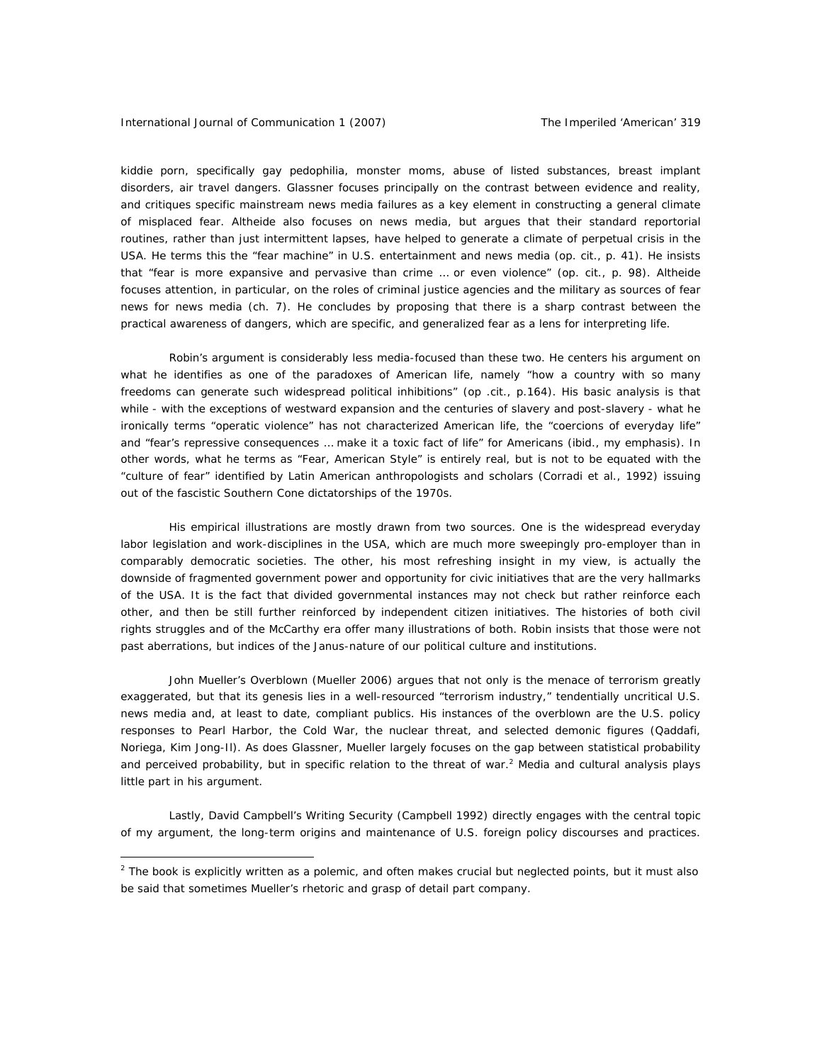kiddie porn, specifically *gay* pedophilia, monster moms, abuse of listed substances, breast implant disorders, air travel dangers. Glassner focuses principally on the contrast between evidence and reality, and critiques specific mainstream news media failures as a key element in constructing a general climate of misplaced fear. Altheide also focuses on news media, but argues that their standard reportorial routines, rather than just intermittent lapses, have helped to generate a climate of perpetual crisis in the USA. He terms this the "fear machine" in U.S. entertainment and news media (*op. cit*., p. 41). He insists that "fear is more expansive and pervasive than crime … or even violence" (*op. cit*., p. 98). Altheide focuses attention, in particular, on the roles of criminal justice agencies and the military as sources of fear news for news media (ch. 7). He concludes by proposing that there is a sharp contrast between the practical awareness of dangers, which are specific, and generalized fear as a lens for interpreting life.

Robin's argument is considerably less media-focused than these two. He centers his argument on what he identifies as one of the paradoxes of American life, namely "how a country with so many freedoms can generate such widespread political inhibitions" (*op .cit*., p.164). His basic analysis is that while - with the exceptions of westward expansion and the centuries of slavery and post-slavery - what he ironically terms "operatic violence" has not characterized American life, the "coercions of *everyday* life" and "fear's repressive consequences … make it a toxic fact of life" for Americans (*ibid*., my emphasis). In other words, what he terms as "Fear, American Style" is entirely real, but is not to be equated with the "culture of fear" identified by Latin American anthropologists and scholars (Corradi et al., 1992) issuing out of the fascistic Southern Cone dictatorships of the 1970s.

His empirical illustrations are mostly drawn from two sources. One is the widespread everyday labor legislation and work-disciplines in the USA, which are much more sweepingly pro-employer than in comparably democratic societies. The other, his most refreshing insight in my view, is actually the downside of fragmented government power and opportunity for civic initiatives that are the very hallmarks of the USA. It is the fact that divided governmental instances may *not* check but rather reinforce each other, and then be still *further* reinforced by independent citizen initiatives. The histories of both civil rights struggles and of the McCarthy era offer many illustrations of both. Robin insists that those were not past aberrations, but indices of the Janus-nature of our political culture and institutions.

John Mueller's *Overblown* (Mueller 2006) argues that not only is the menace of terrorism greatly exaggerated, but that its genesis lies in a well-resourced "terrorism industry," tendentially uncritical U.S. news media and, at least to date, compliant publics. His instances of the overblown are the U.S. policy responses to Pearl Harbor, the Cold War, the nuclear threat, and selected demonic figures (Qaddafi, Noriega, Kim Jong-Il). As does Glassner, Mueller largely focuses on the gap between statistical probability and perceived probability, but in specific relation to the threat of war.<sup>2</sup> Media and cultural analysis plays little part in his argument.

Lastly, David Campbell's *Writing Security* (Campbell 1992) directly engages with the central topic of my argument, the long-term origins and maintenance of U.S. foreign policy discourses and practices.

 $^2$  The book is explicitly written as a polemic, and often makes crucial but neglected points, but it must also be said that sometimes Mueller's rhetoric and grasp of detail part company.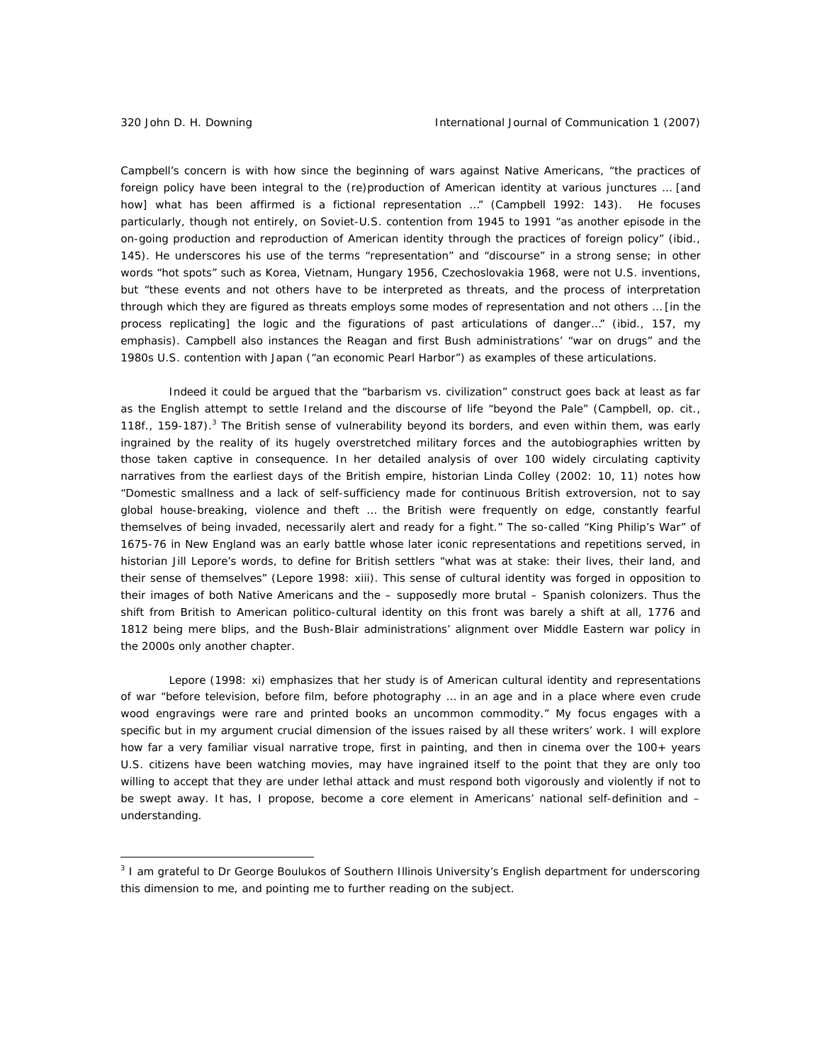Campbell's concern is with how since the beginning of wars against Native Americans, "the practices of foreign policy have been integral to the (re)production of American identity at various junctures … [and how] what has been affirmed is a fictional representation …" (Campbell 1992: 143). He focuses particularly, though not entirely, on Soviet-U.S. contention from 1945 to 1991 "as another episode in the on-going production and reproduction of American identity through the practices of foreign policy" (ibid., 145). He underscores his use of the terms "representation" and "discourse" in a strong sense; in other words "hot spots" such as Korea, Vietnam, Hungary 1956, Czechoslovakia 1968, were not U.S. inventions, but "these events and not others have to be *interpreted* as threats, and the process of interpretation through which they are figured as threats employs some modes of representation and not others … [in the process replicating] the logic and the figurations of past articulations of danger…" (ibid., 157, my emphasis). Campbell also instances the Reagan and first Bush administrations' "war on drugs" and the 1980s U.S. contention with Japan ("an economic Pearl Harbor") as examples of these articulations.

Indeed it could be argued that the "barbarism vs. civilization" construct goes back at least as far as the English attempt to settle Ireland and the discourse of life "beyond the Pale" (Campbell, op. cit., 118f., 159-187).<sup>3</sup> The British sense of vulnerability beyond its borders, and even within them, was early ingrained by the reality of its hugely overstretched military forces and the autobiographies written by those taken captive in consequence. In her detailed analysis of over 100 widely circulating captivity narratives from the earliest days of the British empire, historian Linda Colley (2002: 10, 11) notes how "Domestic smallness and a lack of self-sufficiency made for continuous British extroversion, not to say global house-breaking, violence and theft … the British were frequently on edge, constantly fearful themselves of being invaded, necessarily alert and ready for a fight." The so-called "King Philip's War" of 1675-76 in New England was an early battle whose later iconic representations *and repetitions* served, in historian Jill Lepore's words, to define for British settlers "what was at stake: their lives, their land, and their sense of themselves" (Lepore 1998: xiii). This sense of cultural identity was forged in opposition to their images of both Native Americans and the – supposedly more brutal – Spanish colonizers. Thus the shift from British to American politico-cultural identity on *this* front was barely a shift at all, 1776 and 1812 being mere blips, and the Bush-Blair administrations' alignment over Middle Eastern war policy in the 2000s only another chapter.

Lepore (1998: xi) emphasizes that her study is of American cultural identity and representations of war "before television, before film, before photography … in an age and in a place where even crude wood engravings were rare and printed books an uncommon commodity." My focus engages with a specific but in my argument crucial dimension of the issues raised by all these writers' work. I will explore how far a very familiar *visual* narrative trope, first in painting, and then in cinema over the 100+ years U.S. citizens have been watching movies, may have ingrained itself to the point that they are only too willing to accept that they are under lethal attack and must respond both vigorously and violently if not to be swept away. It has, I propose, become a core element in Americans' national self-definition and understanding.

<sup>&</sup>lt;sup>3</sup> I am grateful to Dr George Boulukos of Southern Illinois University's English department for underscoring this dimension to me, and pointing me to further reading on the subject.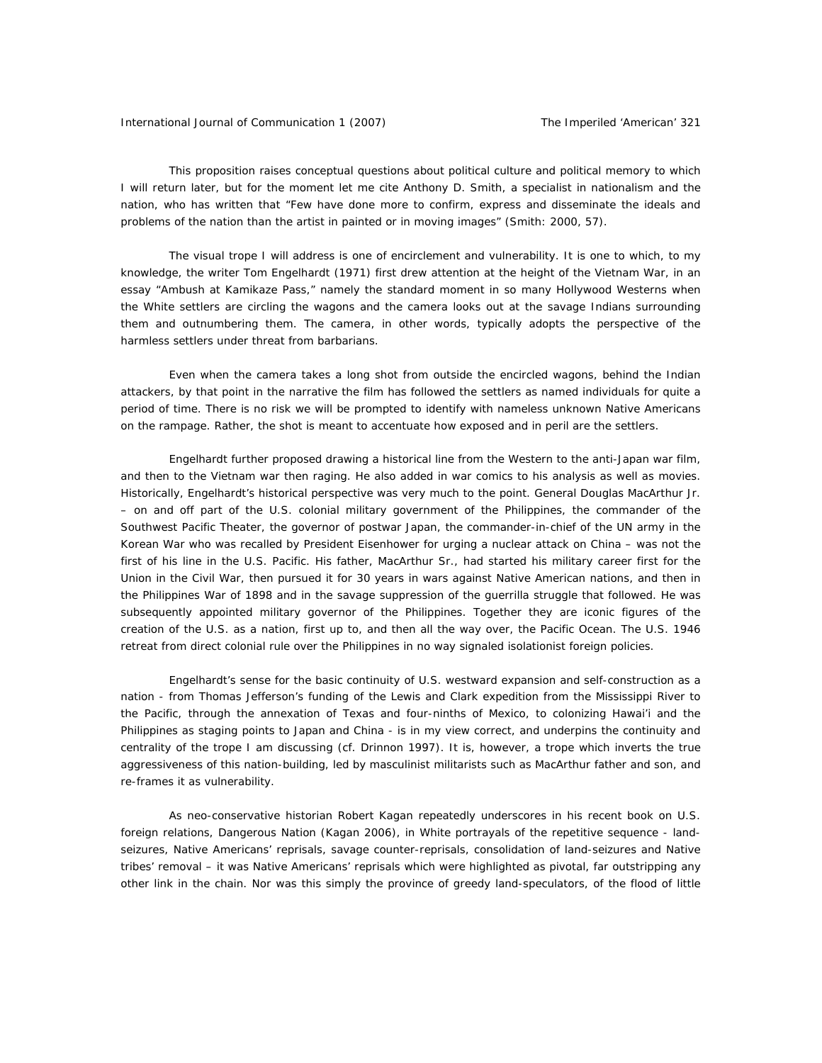This proposition raises conceptual questions about political culture and political memory to which I will return later, but for the moment let me cite Anthony D. Smith, a specialist in nationalism and the nation, who has written that "Few have done more to confirm, express and disseminate the ideals and problems of the nation than the artist in painted or in moving images" (Smith: 2000, 57).

The visual trope I will address is one of encirclement and vulnerability. It is one to which, to my knowledge, the writer Tom Engelhardt (1971) first drew attention at the height of the Vietnam War, in an essay "Ambush at Kamikaze Pass," namely the standard moment in so many Hollywood Westerns when the White settlers are circling the wagons and the camera looks out at the savage Indians surrounding them and outnumbering them. The camera, in other words, typically adopts the perspective of the harmless settlers under threat from barbarians.

Even when the camera takes a long shot from outside the encircled wagons, behind the Indian attackers, by that point in the narrative the film has followed the settlers as named individuals for quite a period of time. There is no risk we will be prompted to identify with nameless unknown Native Americans on the rampage. Rather, the shot is meant to accentuate how exposed and in peril are the settlers.

Engelhardt further proposed drawing a historical line from the Western to the anti-Japan war film, and then to the Vietnam war then raging. He also added in war comics to his analysis as well as movies. Historically, Engelhardt's historical perspective was very much to the point. General Douglas MacArthur Jr. – on and off part of the U.S. colonial military government of the Philippines, the commander of the Southwest Pacific Theater, the governor of postwar Japan, the commander-in-chief of the UN army in the Korean War who was recalled by President Eisenhower for urging a nuclear attack on China – was not the first of his line in the U.S. Pacific. His father, MacArthur Sr., had started his military career first for the Union in the Civil War, then pursued it for 30 years in wars against Native American nations, and then in the Philippines War of 1898 and in the savage suppression of the guerrilla struggle that followed. He was subsequently appointed military governor of the Philippines. Together they are iconic figures of the creation of the U.S. as a nation, first up to, and then all the way over, the Pacific Ocean. The U.S. 1946 retreat from direct colonial rule over the Philippines in no way signaled isolationist foreign policies.

Engelhardt's sense for the basic continuity of U.S. westward expansion and self-construction as a nation - from Thomas Jefferson's funding of the Lewis and Clark expedition from the Mississippi River to the Pacific, through the annexation of Texas and four-ninths of Mexico, to colonizing Hawai'i and the Philippines as staging points to Japan and China - is in my view correct, and underpins the continuity and centrality of the trope I am discussing (cf. Drinnon 1997). It is, however, a trope which inverts the true aggressiveness of this nation-building, led by masculinist militarists such as MacArthur father and son, and re-frames it as *vulnerability*.

As neo-conservative historian Robert Kagan repeatedly underscores in his recent book on U.S. foreign relations, *Dangerous Nation* (Kagan 2006), in White portrayals of the repetitive sequence - landseizures, Native Americans' reprisals, savage counter-reprisals, consolidation of land-seizures and Native tribes' removal – it was Native Americans' reprisals which were highlighted as pivotal, far outstripping any other link in the chain. Nor was this simply the province of greedy land-speculators, of the flood of little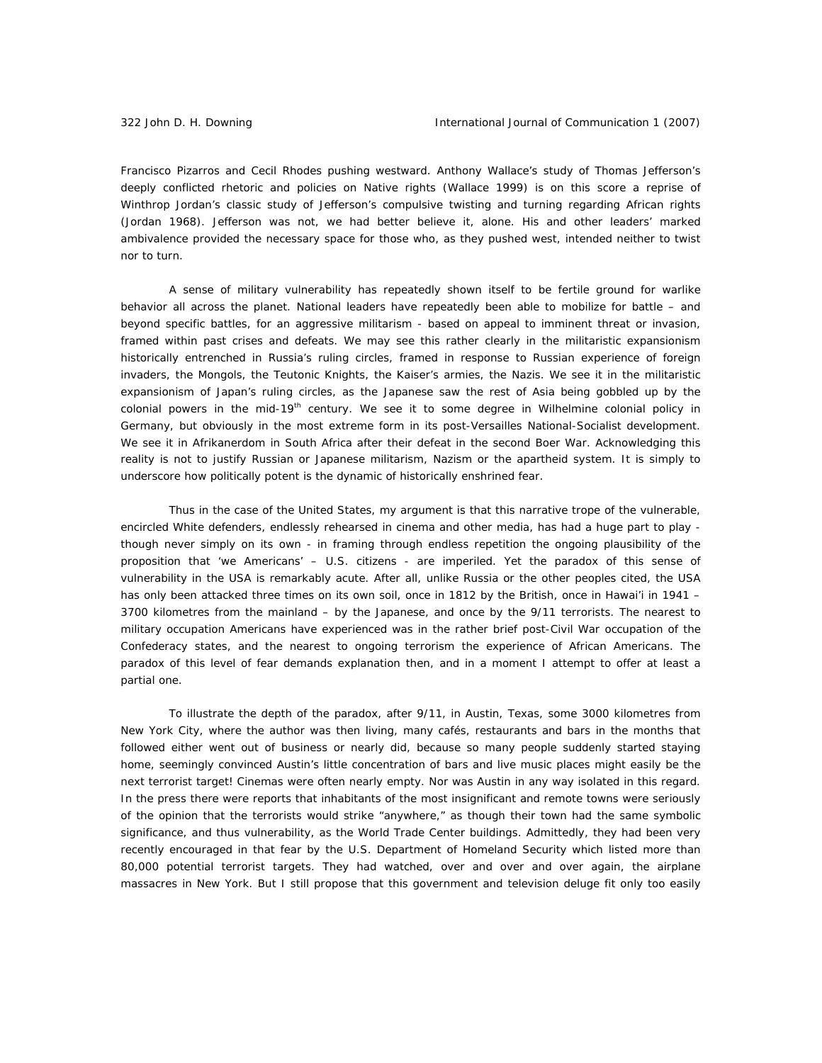Francisco Pizarros and Cecil Rhodes pushing westward. Anthony Wallace's study of Thomas Jefferson's deeply conflicted rhetoric and policies on Native rights (Wallace 1999) is on this score a reprise of Winthrop Jordan's classic study of Jefferson's compulsive twisting and turning regarding African rights (Jordan 1968). Jefferson was not, we had better believe it, alone. His and other leaders' marked ambivalence provided the necessary space for those who, as they pushed west, intended neither to twist nor to turn.

A sense of military vulnerability has repeatedly shown itself to be fertile ground for warlike behavior all across the planet. National leaders have repeatedly been able to mobilize for battle – and beyond specific battles, for an aggressive militarism - based on appeal to imminent threat or invasion, framed within past crises and defeats. We may see this rather clearly in the militaristic expansionism historically entrenched in Russia's ruling circles, framed in response to Russian experience of foreign invaders, the Mongols, the Teutonic Knights, the Kaiser's armies, the Nazis. We see it in the militaristic expansionism of Japan's ruling circles, as the Japanese saw the rest of Asia being gobbled up by the colonial powers in the mid-19<sup>th</sup> century. We see it to some degree in Wilhelmine colonial policy in Germany, but obviously in the most extreme form in its post-Versailles National-Socialist development. We see it in Afrikanerdom in South Africa after their defeat in the second Boer War. Acknowledging this reality is not to justify Russian or Japanese militarism, Nazism or the apartheid system. It is simply to underscore how politically potent is the dynamic of historically enshrined fear.

Thus in the case of the United States, my argument is that this narrative trope of the vulnerable, encircled White defenders, *endlessly rehearsed in cinema and other media*, has had a huge part to play though never simply on its own - in framing through endless repetition the ongoing plausibility of the proposition that 'we Americans' – U.S. citizens - are imperiled. Yet the paradox of this sense of vulnerability in the USA is remarkably acute. After all, unlike Russia or the other peoples cited, the USA has only been attacked three times on its own soil, once in 1812 by the British, once in Hawai'i in 1941 -3700 kilometres from the mainland – by the Japanese, and once by the 9/11 terrorists. The nearest to military occupation Americans have experienced was in the rather brief post-Civil War occupation of the Confederacy states, and the nearest to ongoing terrorism the experience of African Americans. The paradox of this level of fear demands explanation then, and in a moment I attempt to offer at least a partial one.

To illustrate the depth of the paradox, after 9/11, in Austin, Texas, some 3000 kilometres from New York City, where the author was then living, many cafés, restaurants and bars in the months that followed either went out of business or nearly did, because so many people suddenly started staying home, seemingly convinced Austin's little concentration of bars and live music places might easily be the next terrorist target! Cinemas were often nearly empty. Nor was Austin in any way isolated in this regard. In the press there were reports that inhabitants of the most insignificant and remote towns were seriously of the opinion that the terrorists would strike "anywhere," as though their town had the same symbolic significance, and thus vulnerability, as the World Trade Center buildings. Admittedly, they had been very recently encouraged in that fear by the U.S. Department of Homeland Security which listed more than 80,000 potential terrorist targets. They had watched, over and over and over again, the airplane massacres in New York. But I still propose that this government and television deluge fit only too easily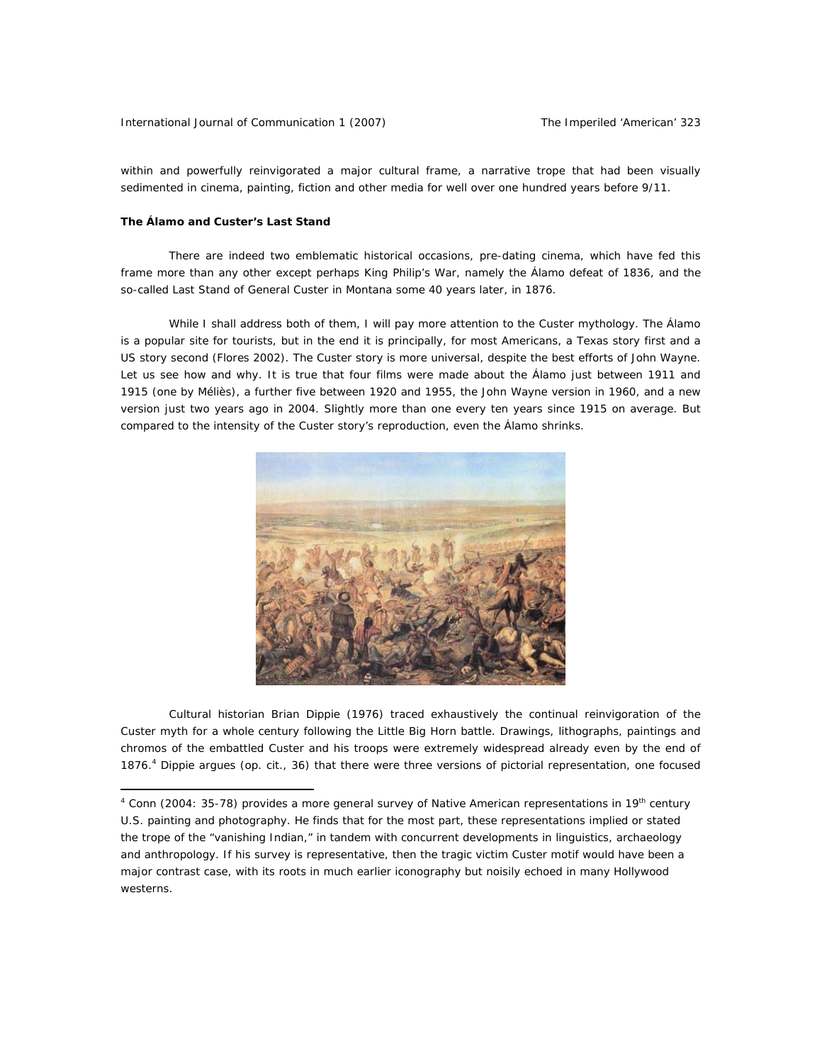within and *powerfully reinvigorated* a major cultural frame, a narrative trope that had been visually sedimented in cinema, painting, fiction and other media for well over one hundred years before 9/11.

#### **The Álamo and Custer's Last Stand**

 $\overline{a}$ 

There are indeed two emblematic historical occasions, pre-dating cinema, which have fed this frame more than any other except perhaps King Philip's War, namely the Álamo defeat of 1836, and the so-called Last Stand of General Custer in Montana some 40 years later, in 1876.

While I shall address both of them, I will pay more attention to the Custer mythology. The Álamo is a popular site for tourists, but in the end it is principally, for most Americans, a Texas story first and a US story second (Flores 2002). The Custer story is more universal, despite the best efforts of John Wayne. Let us see how and why. It is true that four films were made about the Álamo just between 1911 and 1915 (one by Méliès), a further five between 1920 and 1955, the John Wayne version in 1960, and a new version just two years ago in 2004. Slightly more than one every ten years since 1915 on average. But compared to the intensity of the Custer story's reproduction, even the Álamo shrinks.



Cultural historian Brian Dippie (1976) traced exhaustively the continual reinvigoration of the Custer myth for a whole century following the Little Big Horn battle. Drawings, lithographs, paintings and chromos of the embattled Custer and his troops were extremely widespread already even by the end of 1876.4 Dippie argues (op. cit., 36) that there were three versions of pictorial representation, one focused

<sup>&</sup>lt;sup>4</sup> Conn (2004: 35-78) provides a more general survey of Native American representations in 19<sup>th</sup> century U.S. painting and photography. He finds that for the most part, these representations implied or stated the trope of the "vanishing Indian," in tandem with concurrent developments in linguistics, archaeology and anthropology. If his survey is representative, then the tragic victim Custer motif would have been a major contrast case, with its roots in much earlier iconography but noisily echoed in many Hollywood westerns.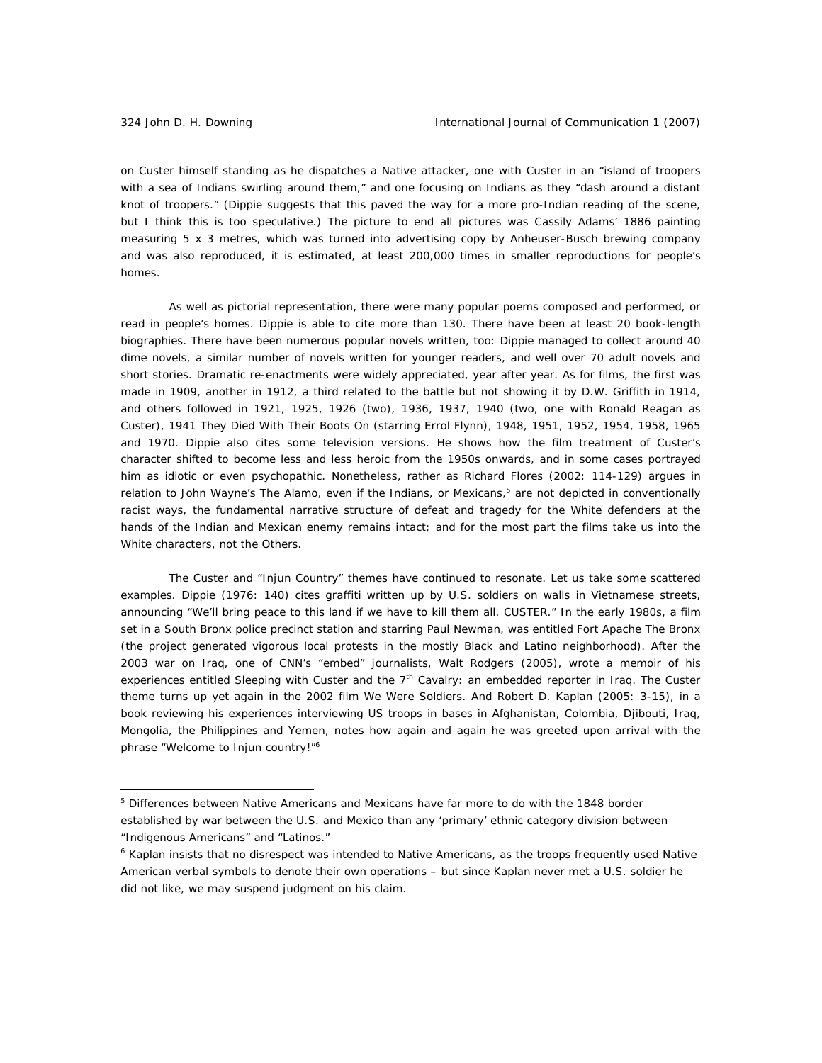on Custer himself standing as he dispatches a Native attacker, one with Custer in an "island of troopers with a sea of Indians swirling around them," and one focusing on Indians as they "dash around a distant knot of troopers." (Dippie suggests that this paved the way for a more pro-Indian reading of the scene, but I think this is too speculative.) The picture to end all pictures was Cassily Adams' 1886 painting measuring 5 x 3 metres, which was turned into advertising copy by Anheuser-Busch brewing company and was also reproduced, it is estimated, at least 200,000 times in smaller reproductions for people's homes.

As well as pictorial representation, there were many popular poems composed and performed, or read in people's homes. Dippie is able to cite more than 130. There have been at least 20 book-length biographies. There have been numerous popular novels written, too: Dippie managed to collect around 40 dime novels, a similar number of novels written for younger readers, and well over 70 adult novels and short stories. Dramatic re-enactments were widely appreciated, year after year. As for films, the first was made in 1909, another in 1912, a third related to the battle but not showing it by D.W. Griffith in 1914, and others followed in 1921, 1925, 1926 (two), 1936, 1937, 1940 (two, one with Ronald Reagan as Custer), 1941 *They Died With Their Boots On* (starring Errol Flynn), 1948, 1951, 1952, 1954, 1958, 1965 and 1970. Dippie also cites some television versions. He shows how the film treatment of Custer's character shifted to become less and less heroic from the 1950s onwards, and in some cases portrayed him as idiotic or even psychopathic. Nonetheless, rather as Richard Flores (2002: 114-129) argues in relation to John Wayne's The Alamo, even if the Indians, or Mexicans,<sup>5</sup> are not depicted in conventionally racist ways, the fundamental narrative structure of defeat and tragedy for the White defenders at the hands of the Indian and Mexican enemy remains intact; and for the most part the films take us into the White characters, not the Others.

The Custer and "Injun Country" themes have continued to resonate. Let us take some scattered examples. Dippie (1976: 140) cites graffiti written up by U.S. soldiers on walls in Vietnamese streets, announcing "We'll bring peace to this land if we have to kill them all. CUSTER." In the early 1980s, a film set in a South Bronx police precinct station and starring Paul Newman, was entitled *Fort Apache The Bronx* (the project generated vigorous local protests in the mostly Black and Latino neighborhood). After the 2003 war on Iraq, one of CNN's "embed" journalists, Walt Rodgers (2005), wrote a memoir of his experiences entitled *Sleeping with Custer and the 7th Cavalry: an embedded reporter in Iraq*. The Custer theme turns up yet again in the 2002 film *We Were Soldiers*. And Robert D. Kaplan (2005: 3-15), in a book reviewing his experiences interviewing US troops in bases in Afghanistan, Colombia, Djibouti, Iraq, Mongolia, the Philippines and Yemen, notes how again and again he was greeted upon arrival with the phrase "Welcome to Injun country!"<sup>6</sup>

<sup>&</sup>lt;sup>5</sup> Differences between Native Americans and Mexicans have far more to do with the 1848 border established by war between the U.S. and Mexico than any 'primary' ethnic category division between "Indigenous Americans" and "Latinos."

<sup>&</sup>lt;sup>6</sup> Kaplan insists that no disrespect was intended to Native Americans, as the troops frequently used Native American verbal symbols to denote their own operations – but since Kaplan never met a U.S. soldier he did not like, we may suspend judgment on his claim.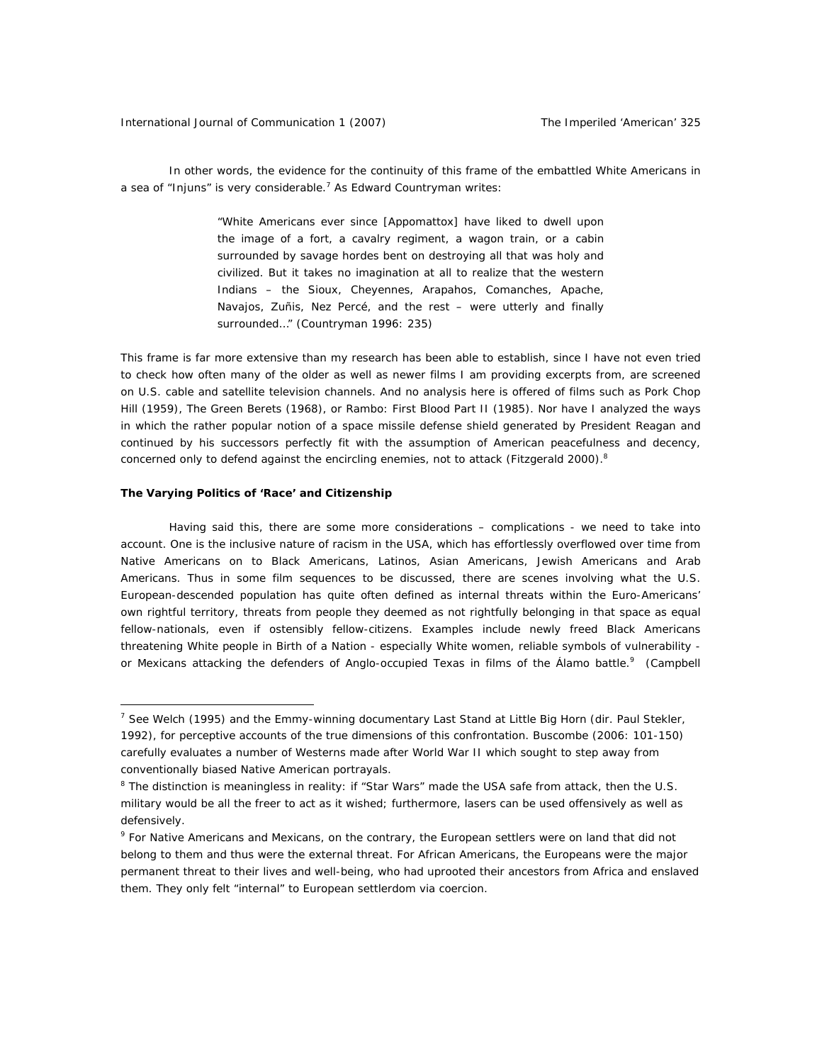In other words, the evidence for the continuity of this frame of the embattled White Americans in a sea of "Injuns" is very considerable.<sup>7</sup> As Edward Countryman writes:

> "White Americans ever since [Appomattox] have liked to dwell upon the image of a fort, a cavalry regiment, a wagon train, or a cabin surrounded by savage hordes bent on destroying all that was holy and civilized. But it takes no imagination at all to realize that the western Indians – the Sioux, Cheyennes, Arapahos, Comanches, Apache, Navajos, Zuñis, Nez Percé, and the rest – were utterly and finally surrounded…" (Countryman 1996: 235)

This frame is far more extensive than my research has been able to establish, since I have not even tried to check how often many of the older as well as newer films I am providing excerpts from, are screened on U.S. cable and satellite television channels. And no analysis here is offered of films such as *Pork Chop Hill* (1959), *The Green Berets* (1968), or *Rambo: First Blood Part II* (1985). Nor have I analyzed the ways in which the rather popular notion of a space missile defense shield generated by President Reagan and continued by his successors perfectly fit with the assumption of American peacefulness and decency, concerned only to defend against the encircling enemies, not to attack (Fitzgerald 2000). $8$ 

#### **The Varying Politics of 'Race' and Citizenship**

 $\overline{a}$ 

Having said this, there are some more considerations – complications - we need to take into account. One is the inclusive nature of racism in the USA, which has effortlessly overflowed over time from Native Americans on to Black Americans, Latinos, Asian Americans, Jewish Americans and Arab Americans. Thus in some film sequences to be discussed, there are scenes involving what the U.S. European-descended population has quite often defined as *internal* threats within the Euro-Americans' own *rightful* territory, threats from people they deemed as not rightfully belonging in that space as equal fellow-nationals, even if ostensibly fellow-citizens. Examples include newly freed Black Americans threatening White people in *Birth of a Nation* - especially White women, reliable symbols of vulnerability or Mexicans attacking the defenders of Anglo-occupied Texas in films of the Álamo battle.<sup>9</sup> (Campbell

<sup>7</sup> See Welch (1995) and the Emmy-winning documentary *Last Stand at Little Big Horn* (dir. Paul Stekler, 1992), for perceptive accounts of the true dimensions of this confrontation. Buscombe (2006: 101-150) carefully evaluates a number of Westerns made after World War II which sought to step away from conventionally biased Native American portrayals.

<sup>&</sup>lt;sup>8</sup> The distinction is meaningless in reality: if "Star Wars" made the USA safe from attack, then the U.S. military would be all the freer to act as it wished; furthermore, lasers can be used offensively as well as defensively.

<sup>&</sup>lt;sup>9</sup> For Native Americans and Mexicans, on the contrary, the European settlers were on land that did not belong to them and thus were the *external* threat. For African Americans, the Europeans were the major permanent threat to their lives and well-being, who had uprooted their ancestors from Africa and enslaved them. They only felt "internal" to European settlerdom via coercion.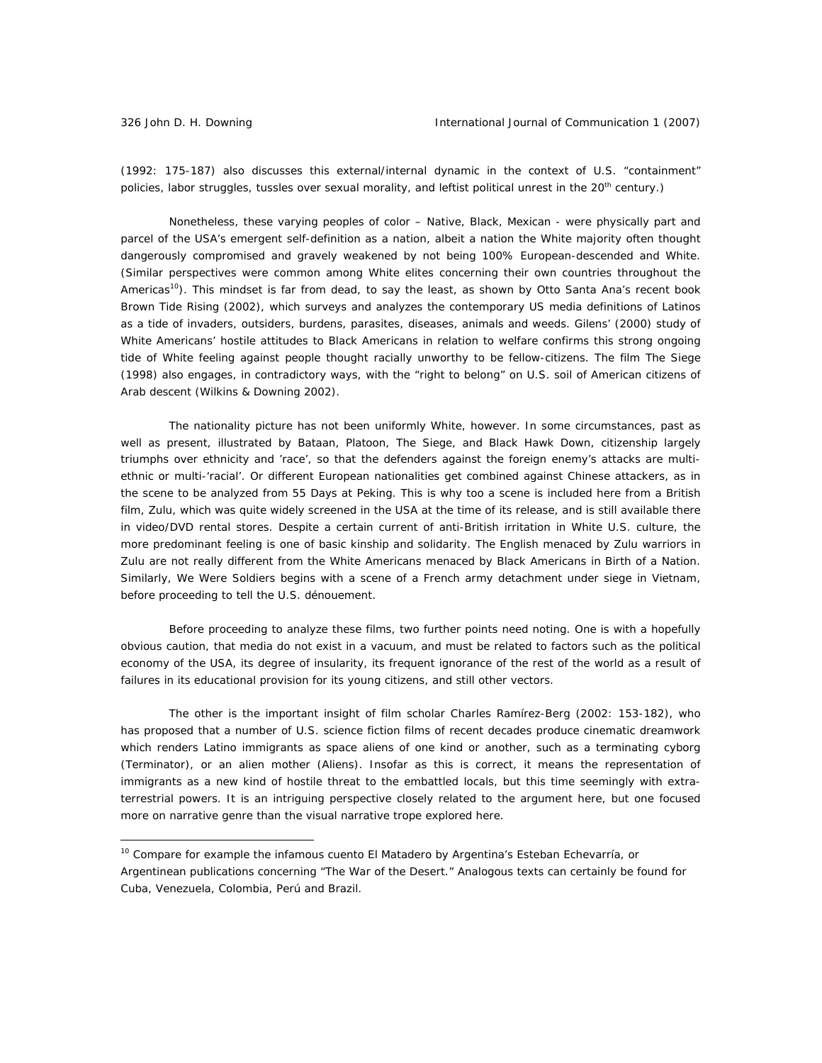(1992: 175-187) also discusses this external/internal dynamic in the context of U.S. "containment" policies, labor struggles, tussles over sexual morality, and leftist political unrest in the 20<sup>th</sup> century.)

Nonetheless, these varying peoples of color – Native, Black, Mexican - were physically part and parcel of the USA's emergent self-definition as a nation, albeit a nation the White majority often thought dangerously compromised and gravely weakened by not being 100% European-descended and White. (Similar perspectives were common among White elites concerning their own countries throughout the Americas<sup>10</sup>). This mindset is far from dead, to say the least, as shown by Otto Santa Ana's recent book *Brown Tide Rising* (2002), which surveys and analyzes the contemporary US media definitions of Latinos as a tide of invaders, outsiders, burdens, parasites, diseases, animals and weeds. Gilens' (2000) study of White Americans' hostile attitudes to Black Americans in relation to welfare confirms this strong ongoing tide of White feeling against people thought racially unworthy to be fellow-citizens. The film *The Siege* (1998) also engages, in contradictory ways, with the "right to belong" on U.S. soil of American citizens of Arab descent (Wilkins & Downing 2002).

The nationality picture has not been uniformly White, however. In some circumstances, past as well as present, illustrated by *Bataan*, *Platoon*, *The Siege*, and *Black Hawk Down*, citizenship largely triumphs over ethnicity and 'race', so that the defenders against the foreign enemy's attacks are multiethnic or multi-'racial'. Or different European nationalities get combined against Chinese attackers, as in the scene to be analyzed from *55 Days at Peking*. This is why too a scene is included here from a British film, *Zulu*, which was quite widely screened in the USA at the time of its release, and is still available there in video/DVD rental stores. Despite a certain current of anti-British irritation in White U.S. culture, the more predominant feeling is one of basic kinship and solidarity. The English menaced by Zulu warriors in *Zulu* are not really different from the White Americans menaced by Black Americans in *Birth of a Nation*. Similarly, *We Were Soldiers* begins with a scene of a French army detachment under siege in Vietnam, before proceeding to tell the U.S. dénouement.

Before proceeding to analyze these films, two further points need noting. One is with a hopefully obvious caution, that media do not exist in a vacuum, and must be related to factors such as the political economy of the USA, its degree of insularity, its frequent ignorance of the rest of the world as a result of failures in its educational provision for its young citizens, and still other vectors.

The other is the important insight of film scholar Charles Ramírez-Berg (2002: 153-182), who has proposed that a number of U.S. science fiction films of recent decades produce cinematic dreamwork which renders Latino immigrants as space aliens of one kind or another, such as a terminating cyborg (*Terminator*), or an alien mother (*Aliens*). Insofar as this is correct, it means the representation of immigrants as a new kind of hostile threat to the embattled locals, but this time seemingly with extraterrestrial powers. It is an intriguing perspective closely related to the argument here, but one focused more on narrative genre than the visual narrative trope explored here.

<sup>10</sup> Compare for example the infamous *cuento El Matadero* by Argentina's Esteban Echevarría, or Argentinean publications concerning "The War of the Desert." Analogous texts can certainly be found for Cuba, Venezuela, Colombia, Perú and Brazil.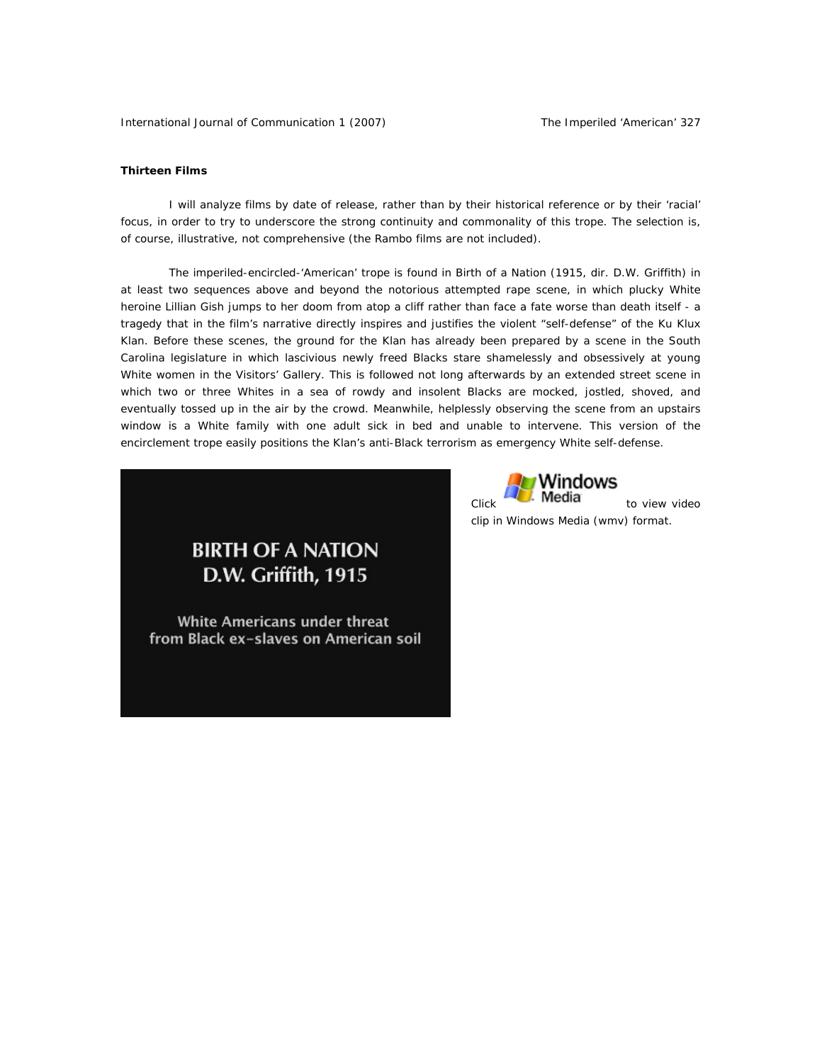### **Thirteen Films**

I will analyze films by date of release, rather than by their historical reference or by their 'racial' focus, in order to try to underscore the strong continuity and commonality of this trope. The selection is, of course, illustrative, not comprehensive (the *Rambo* films are not included).

The imperiled-encircled-'American' trope is found in *Birth of a Nation* (1915, dir. D.W. Griffith) in at least two sequences above and beyond the notorious attempted rape scene, in which plucky White heroine Lillian Gish jumps to her doom from atop a cliff rather than face a fate worse than death itself - a tragedy that in the film's narrative directly inspires and justifies the violent "self-defense" of the Ku Klux Klan. Before these scenes, the ground for the Klan has already been prepared by a scene in the South Carolina legislature in which lascivious newly freed Blacks stare shamelessly and obsessively at young White women in the Visitors' Gallery. This is followed not long afterwards by an extended street scene in which two or three Whites in a sea of rowdy and insolent Blacks are mocked, jostled, shoved, and eventually tossed up in the air by the crowd. Meanwhile, helplessly observing the scene from an upstairs window is a White family with one adult sick in bed and unable to intervene. This version of the encirclement trope easily positions the Klan's anti-Black terrorism as emergency White *self-defense*.



**White Americans under threat** from Black ex-slaves on American soil

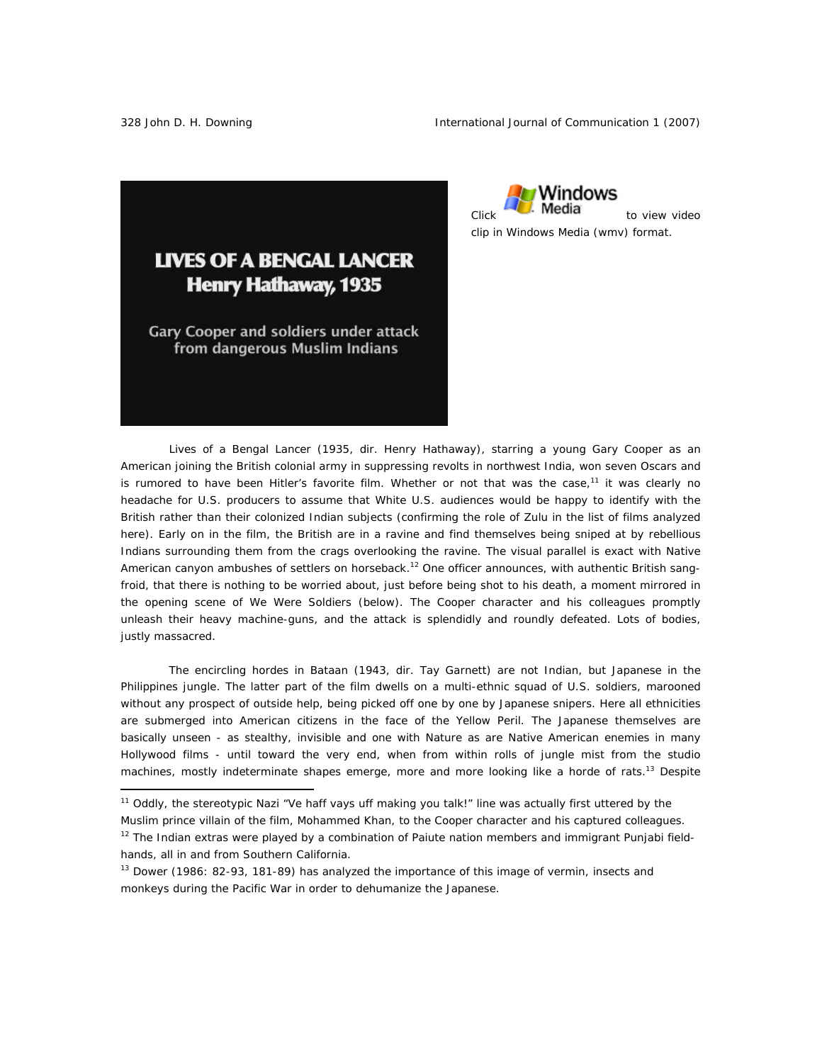

# **LIVES OF A BENGAL LANCER Henry Hathaway, 1935**

**Gary Cooper and soldiers under attack** from dangerous Muslim Indians

*Lives of a Bengal Lancer* (1935, dir. Henry Hathaway), starring a young Gary Cooper as an American joining the British colonial army in suppressing revolts in northwest India, won seven Oscars and is rumored to have been Hitler's favorite film. Whether or not that was the case,<sup>11</sup> it was clearly no headache for U.S. producers to assume that White U.S. audiences would be happy to identify with the British rather than their colonized Indian subjects (confirming the role of *Zulu* in the list of films analyzed here). Early on in the film, the British are in a ravine and find themselves being sniped at by rebellious Indians surrounding them from the crags overlooking the ravine. The visual parallel is exact with Native American canyon ambushes of settlers on horseback.12 One officer announces, with authentic British *sangfroid*, that there is nothing to be worried about, just before being shot to his death, a moment mirrored in the opening scene of *We Were Soldiers* (below). The Cooper character and his colleagues promptly unleash their heavy machine-guns, and the attack is splendidly and roundly defeated. Lots of bodies, justly massacred.

The encircling hordes in *Bataan* (1943, dir. Tay Garnett) are not Indian, but Japanese in the Philippines jungle. The latter part of the film dwells on a multi-ethnic squad of U.S. soldiers, marooned without any prospect of outside help, being picked off one by one by Japanese snipers. Here all ethnicities are submerged into American citizens in the face of the Yellow Peril. The Japanese themselves are basically unseen - as stealthy, invisible and one with Nature as are Native American enemies in many Hollywood films - until toward the very end, when from within rolls of jungle mist from the studio machines, mostly indeterminate shapes emerge, more and more looking like a horde of rats.<sup>13</sup> Despite

 $\overline{a}$ 

<sup>11</sup> Oddly, the stereotypic Nazi "Ve haff vays uff *making* you talk!" line was actually first uttered by the

Muslim prince villain of the film, Mohammed Khan, to the Cooper character and his captured colleagues.  $12$  The Indian extras were played by a combination of Paiute nation members and immigrant Punjabi field-

hands, all in and from Southern California.

 $13$  Dower (1986: 82-93, 181-89) has analyzed the importance of this image of vermin, insects and monkeys during the Pacific War in order to dehumanize the Japanese.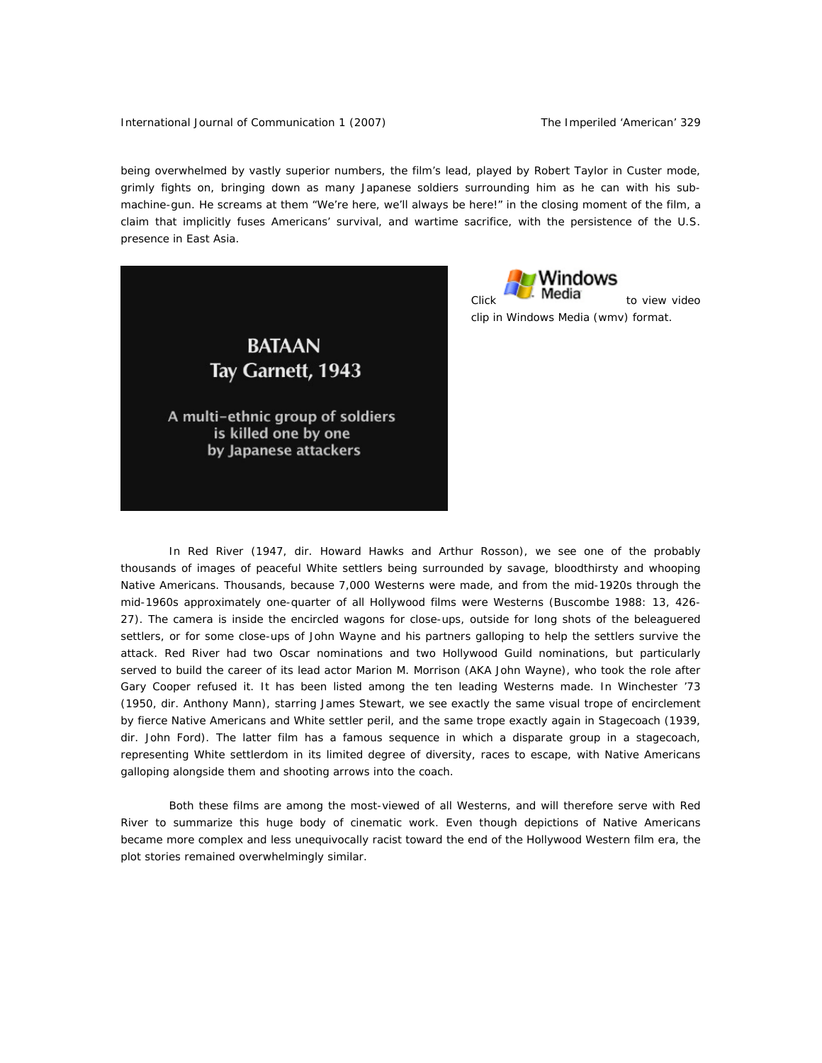International Journal of Communication 1 (2007) The Imperiled 'American' 329

being overwhelmed by vastly superior numbers, the film's lead, played by Robert Taylor in Custer mode, grimly fights on, bringing down as many Japanese soldiers surrounding him as he can with his submachine-gun. He screams at them "We're here, we'll always be here!" in the closing moment of the film, a claim that implicitly fuses Americans' survival, and wartime sacrifice, with the persistence of the U.S. presence in East Asia.





In *Red River* (1947, dir. Howard Hawks and Arthur Rosson), we see one of the probably thousands of images of peaceful White settlers being surrounded by savage, bloodthirsty and whooping Native Americans. Thousands, because 7,000 Westerns were made, and from the mid-1920s through the mid-1960s approximately one-quarter of all Hollywood films were Westerns (Buscombe 1988: 13, 426- 27). The camera is inside the encircled wagons for close-ups, outside for long shots of the beleaguered settlers, or for some close-ups of John Wayne and his partners galloping to help the settlers survive the attack. *Red River* had two Oscar nominations and two Hollywood Guild nominations, but particularly served to build the career of its lead actor Marion M. Morrison (AKA John Wayne), who took the role after Gary Cooper refused it. It has been listed among the ten leading Westerns made. In *Winchester '73* (1950, dir. Anthony Mann), starring James Stewart, we see exactly the same visual trope of encirclement by fierce Native Americans and White settler peril, and the same trope exactly again in *Stagecoach* (1939, dir. John Ford). The latter film has a famous sequence in which a disparate group in a stagecoach, representing White settlerdom in its limited degree of diversity, races to escape, with Native Americans galloping alongside them and shooting arrows into the coach.

Both these films are among the most-viewed of all Westerns, and will therefore serve with *Red River* to summarize this huge body of cinematic work. Even though depictions of Native Americans became more complex and less unequivocally racist toward the end of the Hollywood Western film era, the plot stories remained overwhelmingly similar.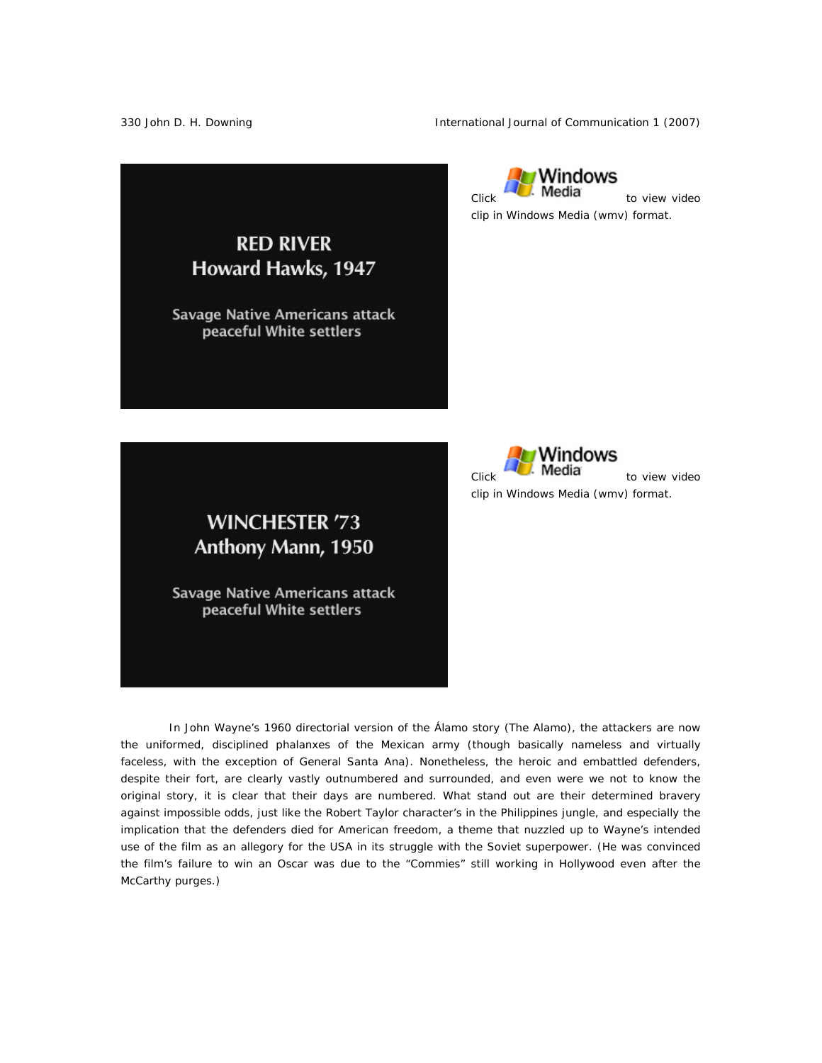330 John D. H. Downing The International Journal of Communication 1 (2007)



≀Windows  $Click$ **Media** to view video clip in Windows Media (wmv) format.



**WINCHESTER '73** Anthony Mann, 1950

**Savage Native Americans attack** peaceful White settlers

In John Wayne's 1960 directorial version of the Álamo story (*The Alamo*), the attackers are now the uniformed, disciplined phalanxes of the Mexican army (though basically nameless and virtually faceless, with the exception of General Santa Ana). Nonetheless, the heroic and embattled defenders, despite their fort, are clearly vastly outnumbered and surrounded, and even were we not to know the original story, it is clear that their days are numbered. What stand out are their determined bravery against impossible odds, just like the Robert Taylor character's in the Philippines jungle, and especially the implication that the defenders died for American freedom, a theme that nuzzled up to Wayne's intended use of the film as an allegory for the USA in its struggle with the Soviet superpower. (He was convinced the film's failure to win an Oscar was due to the "Commies" still working in Hollywood even after the McCarthy purges.)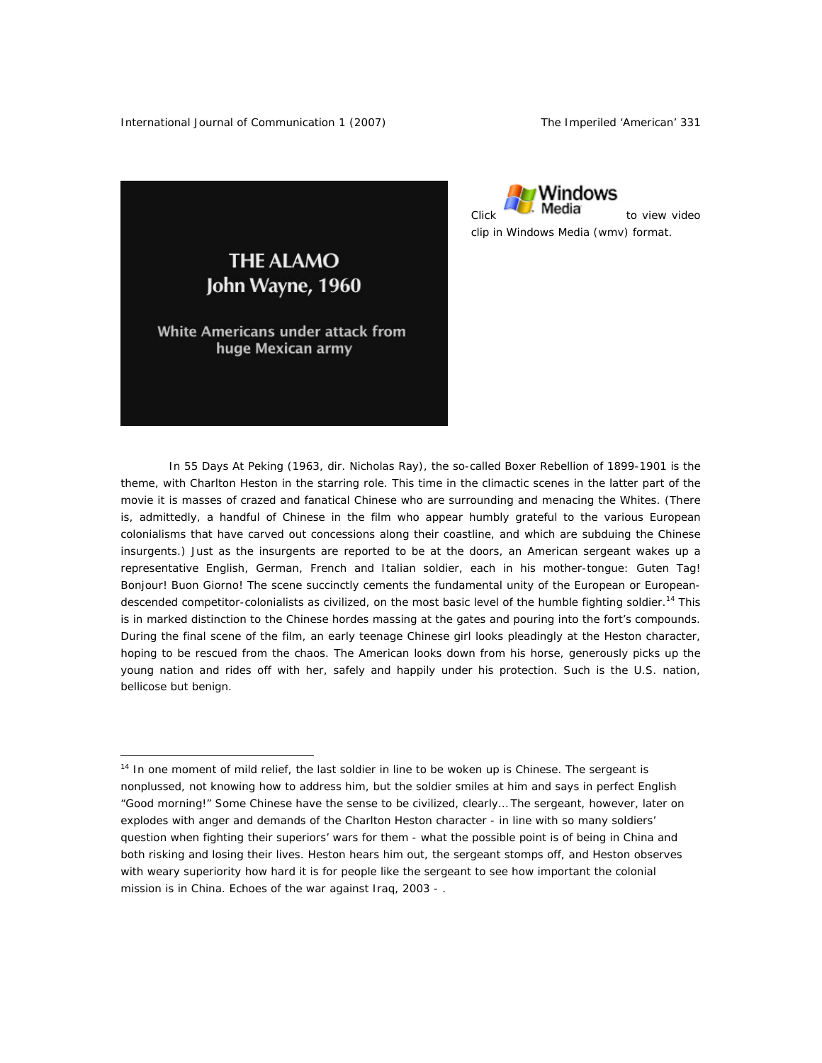

**THE ALAMO** John Wayne, 1960

White Americans under attack from huge Mexican army

 $\overline{a}$ 

In *55 Days At Peking* (1963, dir. Nicholas Ray), the so-called Boxer Rebellion of 1899-1901 is the theme, with Charlton Heston in the starring role. This time in the climactic scenes in the latter part of the movie it is masses of crazed and fanatical Chinese who are surrounding and menacing the Whites. (There is, admittedly, a handful of Chinese in the film who appear humbly grateful to the various European colonialisms that have carved out concessions along their coastline, and which are subduing the Chinese insurgents.) Just as the insurgents are reported to be at the doors, an American sergeant wakes up a representative English, German, French and Italian soldier, each in his mother-tongue: *Guten Tag*! *Bonjour*! *Buon Giorno*! The scene succinctly cements the fundamental unity of the European or Europeandescended competitor-colonialists as *civilized*, on the most basic level of the humble fighting soldier.<sup>14</sup> This is in marked distinction to the Chinese hordes massing at the gates and pouring into the fort's compounds. During the final scene of the film, an early teenage Chinese girl looks pleadingly at the Heston character, hoping to be rescued from the chaos. The American looks down from his horse, generously picks up the young nation and rides off with her, safely and happily under his protection. Such is the U.S. nation, bellicose but benign.

<sup>&</sup>lt;sup>14</sup> In one moment of mild relief, the last soldier in line to be woken up is Chinese. The sergeant is nonplussed, not knowing how to address him, but the soldier smiles at him and says in perfect English "Good morning!" Some Chinese have the sense to be civilized, clearly… The sergeant, however, later on explodes with anger and demands of the Charlton Heston character - in line with so many soldiers' question when fighting their superiors' wars for them - what the possible point is of being in China and both risking and losing their lives. Heston hears him out, the sergeant stomps off, and Heston observes with weary superiority how hard it is for people like the sergeant to see how important the colonial mission is in China. Echoes of the war against Iraq, 2003 - .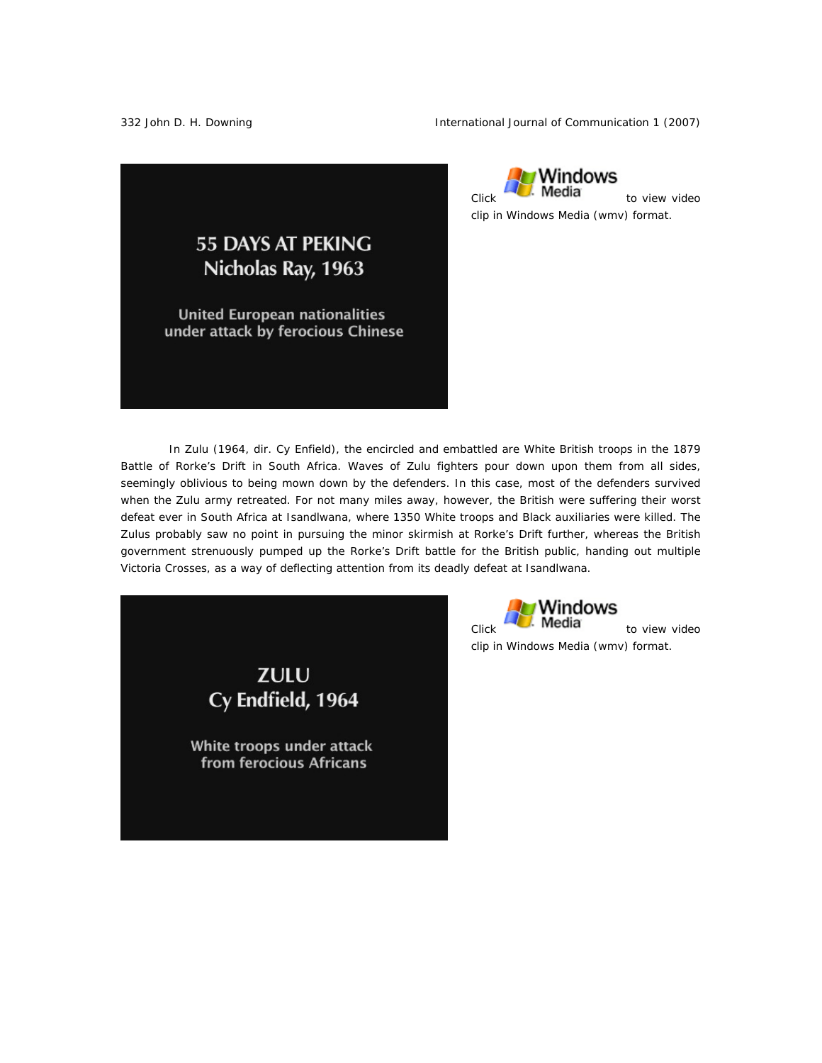332 John D. H. Downing The International Journal of Communication 1 (2007)



Windows  $Click$ **Media** to view video clip in Windows Media (wmv) format.

In *Zulu* (1964, dir. Cy Enfield), the encircled and embattled are White British troops in the 1879 Battle of Rorke's Drift in South Africa. Waves of Zulu fighters pour down upon them from all sides, seemingly oblivious to being mown down by the defenders. In this case, most of the defenders survived when the Zulu army retreated. For not many miles away, however, the British were suffering their worst defeat ever in South Africa at Isandlwana, where 1350 White troops and Black auxiliaries were killed. The Zulus probably saw no point in pursuing the minor skirmish at Rorke's Drift further, whereas the British government strenuously pumped up the Rorke's Drift battle for the British public, handing out multiple Victoria Crosses, as a way of deflecting attention from its deadly defeat at Isandlwana.

> **ZULU** Cy Endfield, 1964

White troops under attack from ferocious Africans

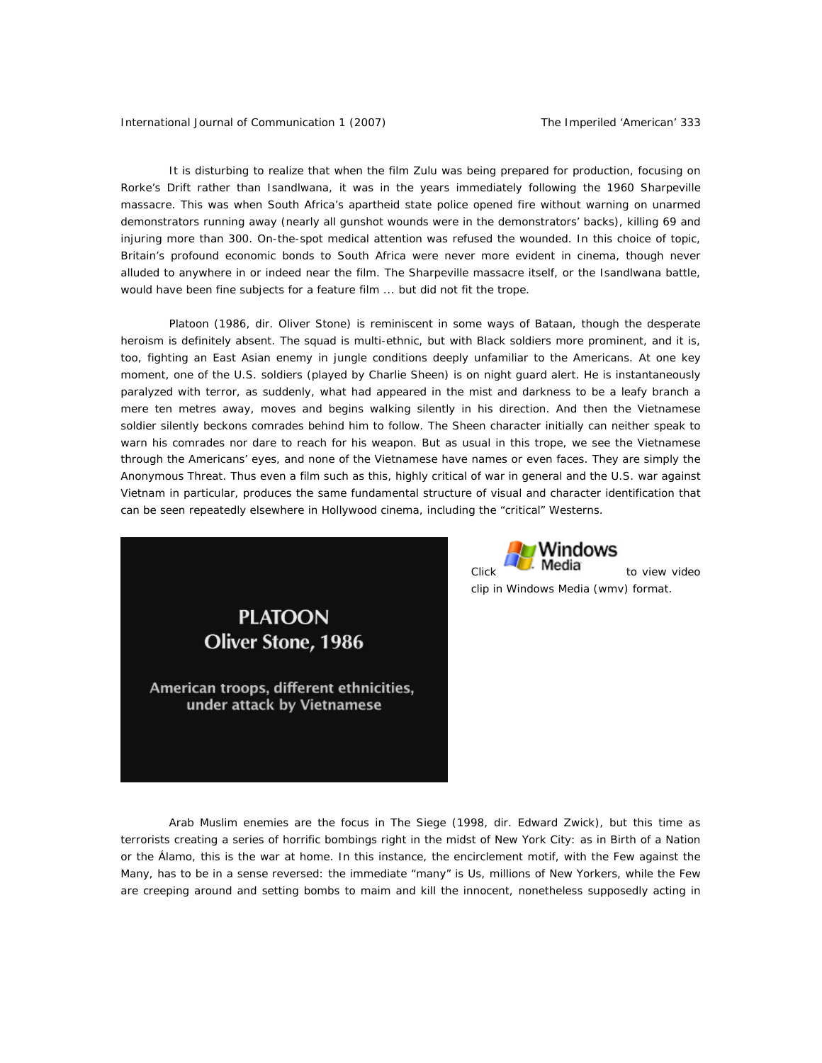International Journal of Communication 1 (2007) The Imperiled 'American' 333

It is disturbing to realize that when the film *Zulu* was being prepared for production, focusing on Rorke's Drift rather than Isandlwana, it was in the years immediately following the 1960 Sharpeville massacre. This was when South Africa's apartheid state police opened fire without warning on unarmed demonstrators running away (nearly all gunshot wounds were in the demonstrators' backs), killing 69 and injuring more than 300. On-the-spot medical attention was refused the wounded. In this choice of topic, Britain's profound economic bonds to South Africa were never more evident in cinema, though never alluded to anywhere in or indeed near the film. The Sharpeville massacre itself, or the Isandlwana battle, would have been fine subjects for a feature film ... but did not fit the trope.

*Platoon* (1986, dir. Oliver Stone) is reminiscent in some ways of *Bataan*, though the desperate heroism is definitely absent. The squad is multi-ethnic, but with Black soldiers more prominent, and it is, too, fighting an East Asian enemy in jungle conditions deeply unfamiliar to the Americans. At one key moment, one of the U.S. soldiers (played by Charlie Sheen) is on night guard alert. He is instantaneously paralyzed with terror, as suddenly, what had appeared in the mist and darkness to be a leafy branch a mere ten metres away, moves and begins walking silently in his direction. And then the Vietnamese soldier silently beckons comrades behind him to follow. The Sheen character initially can neither speak to warn his comrades nor dare to reach for his weapon. But as usual in this trope, we see the Vietnamese through the Americans' eyes, and none of the Vietnamese have names or even faces. They are simply the Anonymous Threat. Thus even a film such as this, highly critical of war in general and the U.S. war against Vietnam in particular, produces the same fundamental structure of visual and character identification that can be seen repeatedly elsewhere in Hollywood cinema, including the "critical" Westerns.





clip in Windows Media (wmv) format.

Arab Muslim enemies are the focus in *The Siege* (1998, dir. Edward Zwick), but this time as terrorists creating a series of horrific bombings right in the midst of New York City: as in *Birth of a Nation* or the *Álamo*, this is the war at home. In this instance, the encirclement motif, with the Few against the Many, has to be in a sense reversed: the immediate "many" is Us, millions of New Yorkers, while the Few are creeping around and setting bombs to maim and kill the innocent, nonetheless supposedly acting in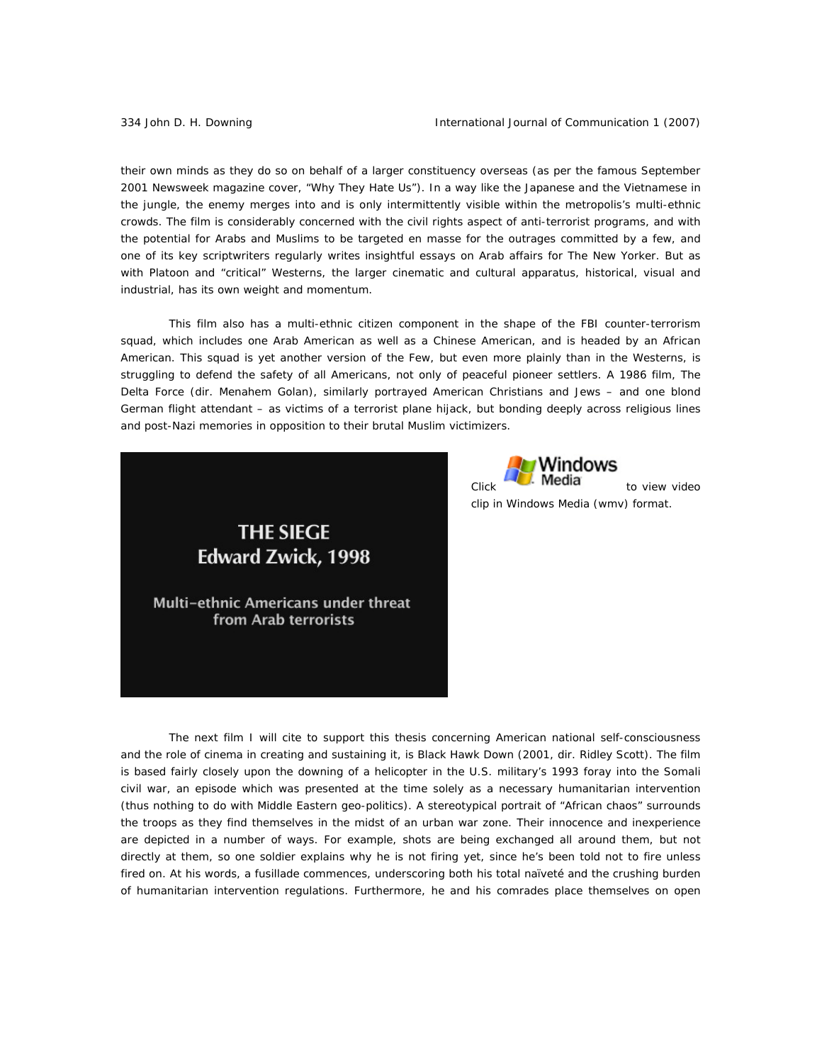their own minds as they do so on behalf of a larger constituency overseas (as per the famous September 2001 *Newsweek* magazine cover, "Why They Hate Us"). In a way like the Japanese and the Vietnamese in the jungle, the enemy merges into and is only intermittently visible within the metropolis's multi-ethnic crowds. The film is considerably concerned with the civil rights aspect of anti-terrorist programs, and with the potential for Arabs and Muslims to be targeted en masse for the outrages committed by a few, and one of its key scriptwriters regularly writes insightful essays on Arab affairs for *The New Yorker*. But as with *Platoon* and "critical" Westerns, the larger cinematic and cultural apparatus, historical, visual and industrial, has its own weight and momentum.

This film also has a multi-ethnic citizen component in the shape of the FBI counter-terrorism squad, which includes one Arab American as well as a Chinese American, and is headed by an African American. This squad is yet another version of the Few, but even more plainly than in the Westerns, is struggling to defend the safety of all Americans, not only of peaceful pioneer settlers. A 1986 film, *The Delta Force* (dir. Menahem Golan), similarly portrayed American Christians and Jews – and one blond German flight attendant – as victims of a terrorist plane hijack, but bonding deeply across religious lines and post-Nazi memories in opposition to their brutal Muslim victimizers.





clip in Windows Media (wmv) format.

The next film I will cite to support this thesis concerning American national self-consciousness and the role of cinema in creating and sustaining it, is *Black Hawk Down* (2001, dir. Ridley Scott). The film is based fairly closely upon the downing of a helicopter in the U.S. military's 1993 foray into the Somali civil war, an episode which was presented at the time solely as a necessary humanitarian intervention (thus nothing to do with Middle Eastern geo-politics). A stereotypical portrait of "African chaos" surrounds the troops as they find themselves in the midst of an urban war zone. Their innocence and inexperience are depicted in a number of ways. For example, shots are being exchanged all around them, but not directly at them, so one soldier explains why he is not firing yet, since he's been told not to fire unless fired on. At his words, a fusillade commences, underscoring both his total naïveté and the crushing burden of humanitarian intervention regulations. Furthermore, he and his comrades place themselves on open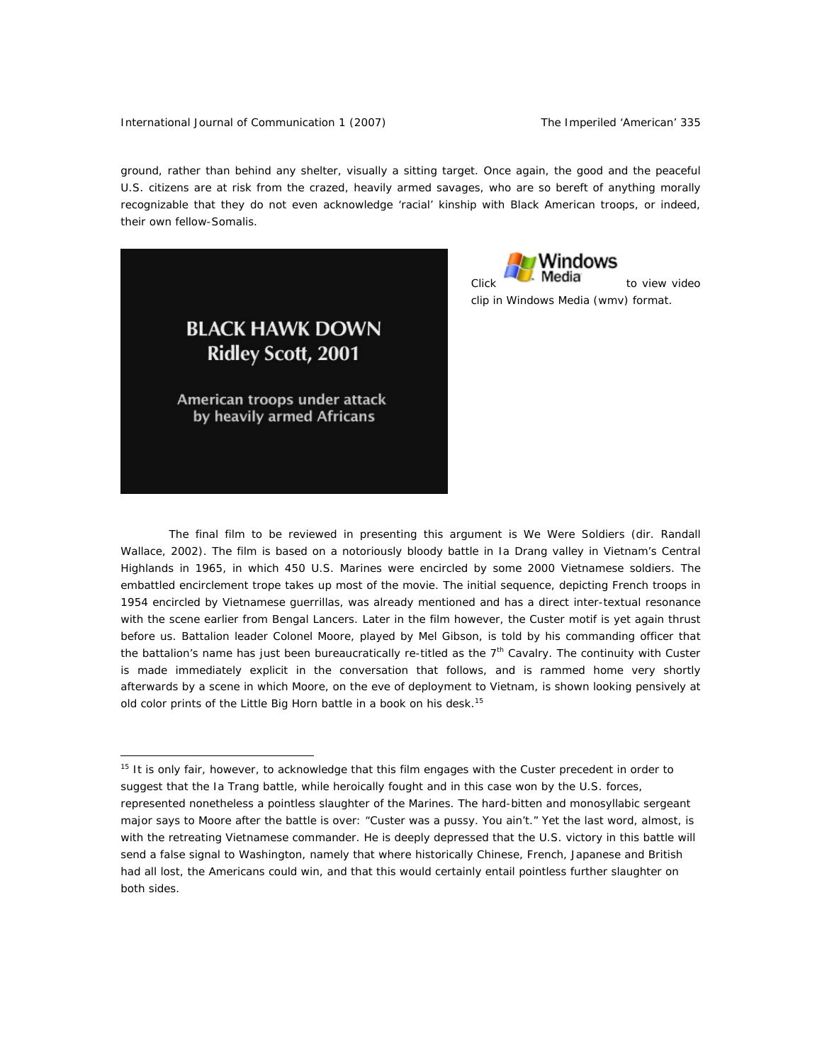ground, rather than behind any shelter, visually a sitting target. Once again, the good and the peaceful U.S. citizens are at risk from the crazed, heavily armed savages, who are so bereft of anything morally recognizable that they do not even acknowledge 'racial' kinship with Black American troops, or indeed, their own fellow-Somalis.

> **BLACK HAWK DOWN Ridley Scott, 2001**

American troops under attack by heavily armed Africans

 $\overline{a}$ 

Windows  $C$ lick $\overline{C}$ . Media  $\overline{C}$  to view video clip in Windows Media (wmv) format.

The final film to be reviewed in presenting this argument is *We Were Soldiers* (dir. Randall Wallace, 2002). The film is based on a notoriously bloody battle in Ia Drang valley in Vietnam's Central Highlands in 1965, in which 450 U.S. Marines were encircled by some 2000 Vietnamese soldiers. The embattled encirclement trope takes up most of the movie. The initial sequence, depicting French troops in 1954 encircled by Vietnamese guerrillas, was already mentioned and has a direct inter-textual resonance with the scene earlier from *Bengal Lancers*. Later in the film however, the Custer motif is yet again thrust before us. Battalion leader Colonel Moore, played by Mel Gibson, is told by his commanding officer that the battalion's name has just been bureaucratically re-titled as the 7<sup>th</sup> Cavalry. The continuity with Custer is made immediately explicit in the conversation that follows, and is rammed home very shortly afterwards by a scene in which Moore, on the eve of deployment to Vietnam, is shown looking pensively at old color prints of the Little Big Horn battle in a book on his desk.<sup>15</sup>

<sup>&</sup>lt;sup>15</sup> It is only fair, however, to acknowledge that this film engages with the Custer precedent in order to suggest that the Ia Trang battle, while heroically fought and in this case won by the U.S. forces, represented nonetheless a pointless slaughter of the Marines. The hard-bitten and monosyllabic sergeant major says to Moore after the battle is over: "Custer was a pussy. You ain't." Yet the last word, almost, is with the retreating Vietnamese commander. He is deeply depressed that the U.S. victory in this battle will send a false signal to Washington, namely that where historically Chinese, French, Japanese and British had all lost, the Americans could win, and that this would certainly entail pointless further slaughter on both sides.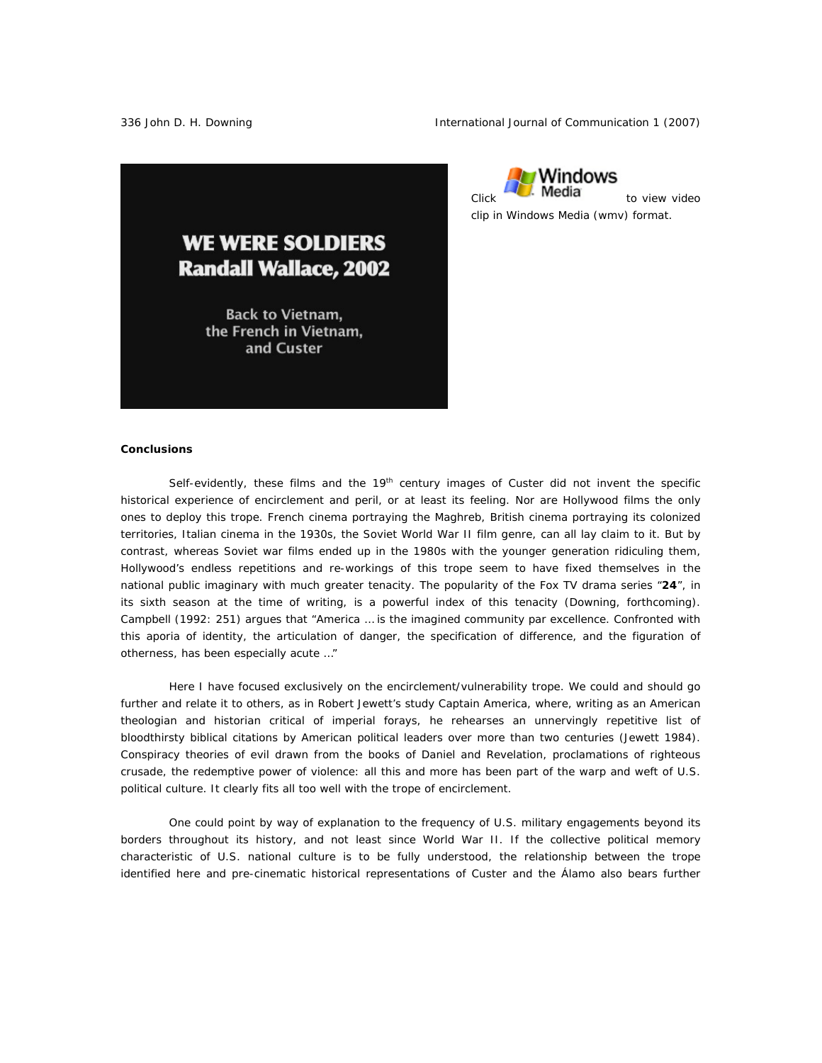336 John D. H. Downing The International Journal of Communication 1 (2007)



rWindows  $C$ lick $\blacksquare$  **Media** to view video clip in Windows Media (wmv) format.

#### **Conclusions**

Self-evidently, these films and the  $19<sup>th</sup>$  century images of Custer did not invent the specific historical experience of encirclement and peril, or at least its feeling. Nor are Hollywood films the only ones to deploy this trope. French cinema portraying the Maghreb, British cinema portraying its colonized territories, Italian cinema in the 1930s, the Soviet World War II film genre, can all lay claim to it. But by contrast, whereas Soviet war films ended up in the 1980s with the younger generation ridiculing them, Hollywood's endless repetitions and re-workings of this trope seem to have fixed themselves in the national public imaginary with much greater tenacity. The popularity of the Fox TV drama series "*24*", in its sixth season at the time of writing, is a powerful index of this tenacity (Downing, forthcoming). Campbell (1992: 251) argues that "America … is the imagined community *par excellence*. Confronted with this *aporia* of identity, the articulation of danger, the specification of difference, and the figuration of otherness, has been especially acute …"

Here I have focused exclusively on the encirclement/vulnerability trope. We could and should go further and relate it to others, as in Robert Jewett's study *Captain America*, where, writing as an American theologian and historian critical of imperial forays, he rehearses an unnervingly repetitive list of bloodthirsty biblical citations by American political leaders over more than two centuries (Jewett 1984). Conspiracy theories of evil drawn from the books of *Daniel* and *Revelation*, proclamations of righteous crusade, the redemptive power of violence: all this and more has been part of the warp and weft of U.S. political culture. It clearly fits all too well with the trope of encirclement.

One could point by way of explanation to the frequency of U.S. military engagements beyond its borders throughout its history, and not least since World War II. If the collective political memory characteristic of U.S. national culture is to be fully understood, the relationship between the trope identified here and pre-cinematic historical representations of Custer and the Álamo also bears further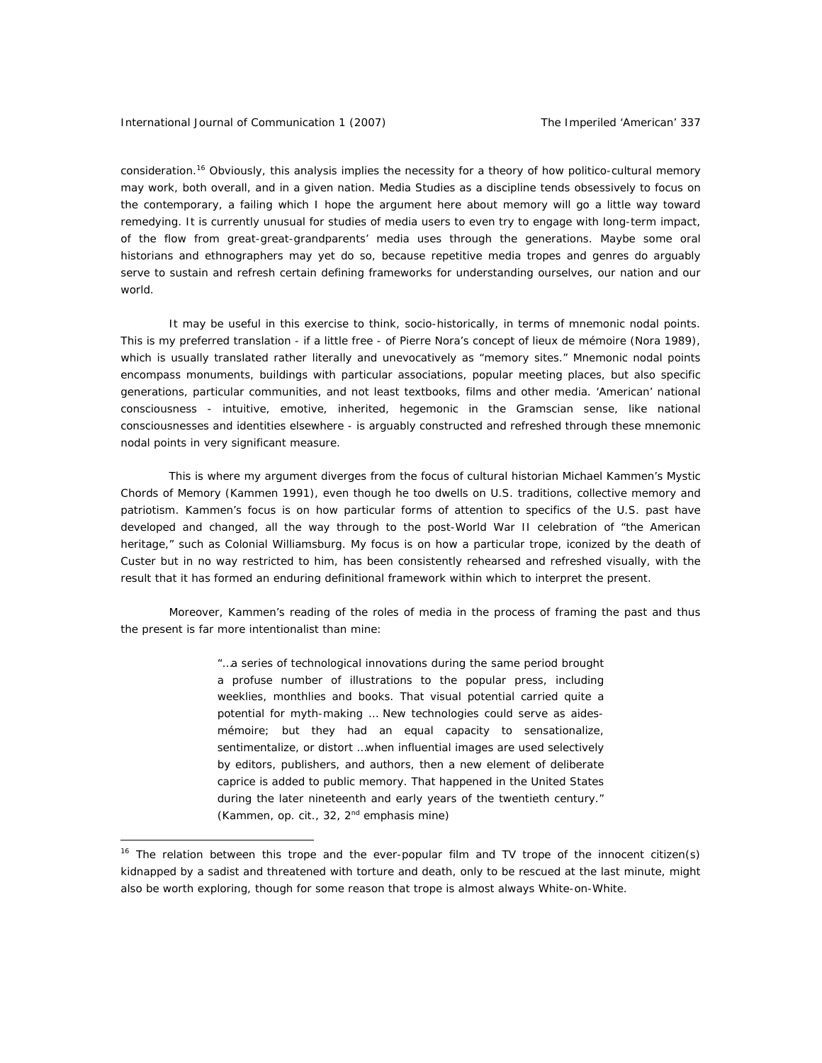consideration.<sup>16</sup> Obviously, this analysis implies the necessity for a theory of how politico-cultural memory may work, both overall, and in a given nation. Media Studies as a discipline tends obsessively to focus on the contemporary, a failing which I hope the argument here about memory will go a little way toward remedying. It is currently unusual for studies of media users to even try to engage with long-term impact, of the flow from great-great-grandparents' media uses through the generations. Maybe some oral historians and ethnographers may yet do so, because repetitive media tropes and genres do arguably serve to sustain and refresh certain defining frameworks for understanding ourselves, our nation and our world.

It may be useful in this exercise to think, socio-historically, in terms of *mnemonic nodal points*. This is my preferred translation - if a little free - of Pierre Nora's concept of *lieux de mémoire* (Nora 1989), which is usually translated rather literally and unevocatively as "memory sites." Mnemonic nodal points encompass monuments, buildings with particular associations, popular meeting places, but also specific generations, particular communities, and not least textbooks, films and other media. 'American' national consciousness - intuitive, emotive, inherited, hegemonic in the Gramscian sense, like national consciousnesses and identities elsewhere - is arguably constructed and refreshed through these mnemonic nodal points in very significant measure.

This is where my argument diverges from the focus of cultural historian Michael Kammen's *Mystic Chords of Memory* (Kammen 1991), even though he too dwells on U.S. traditions, collective memory and patriotism. Kammen's focus is on how particular forms of attention to specifics of the U.S. past have developed and changed, all the way through to the post-World War II celebration of "the American heritage," such as Colonial Williamsburg. My focus is on how a particular trope, iconized by the death of Custer but in no way restricted to him, has been consistently rehearsed and refreshed *visually*, with the result that it has formed an enduring definitional framework within which to interpret the present.

Moreover, Kammen's reading of the roles of media in the process of framing the past and thus the present is far more intentionalist than mine:

> "…a series of technological innovations during the same period brought a profuse number of illustrations to the popular press, including weeklies, monthlies and books. That visual potential carried quite a potential for myth-making … New technologies *could* serve as *aidesmémoire*; but they had an equal capacity to sensationalize, sentimentalize, or distort …when influential images are used selectively by editors, publishers, and authors, then a new element of *deliberate caprice* is added to public memory. That happened in the United States during the later nineteenth and early years of the twentieth century." (Kammen, *op. cit*., 32, 2nd emphasis mine)

<sup>&</sup>lt;sup>16</sup> The relation between this trope and the ever-popular film and TV trope of the innocent citizen(s) kidnapped by a sadist and threatened with torture and death, only to be rescued at the last minute, might also be worth exploring, though for some reason that trope is almost always White-on-White.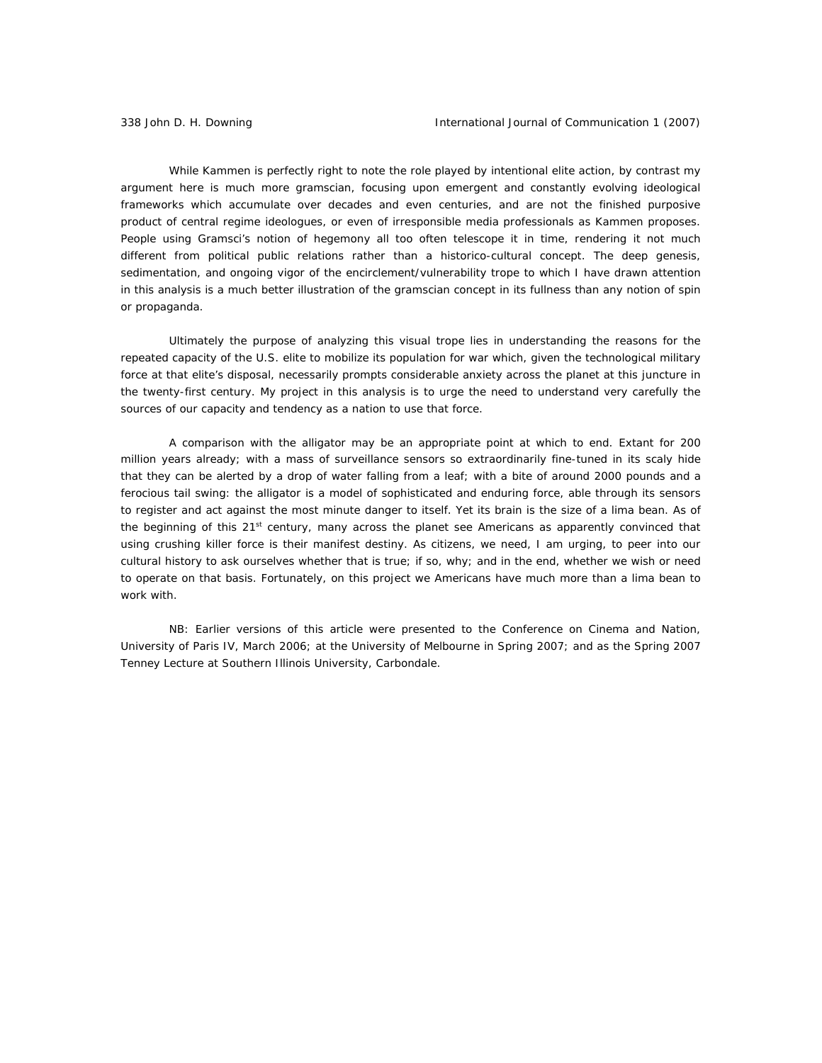While Kammen is perfectly right to note the role played by intentional elite action, by contrast my argument here is much more gramscian, focusing upon emergent and constantly evolving ideological frameworks which accumulate over decades and even centuries, and are not the finished purposive product of central regime ideologues, or even of irresponsible media professionals as Kammen proposes. People using Gramsci's notion of hegemony all too often telescope it in time, rendering it not much different from political public relations rather than a *historico-cultural* concept. The deep genesis, sedimentation, and ongoing vigor of the encirclement/vulnerability trope to which I have drawn attention in this analysis is a much better illustration of the gramscian concept in its fullness than any notion of spin or propaganda.

Ultimately the purpose of analyzing this visual trope lies in understanding the reasons for the repeated capacity of the U.S. elite to mobilize its population for war which, given the technological military force at that elite's disposal, necessarily prompts considerable anxiety across the planet at this juncture in the twenty-first century. My project in this analysis is to urge the need to understand very carefully the sources of our capacity and tendency as a nation to use that force.

A comparison with the alligator may be an appropriate point at which to end. Extant for 200 million years already; with a mass of surveillance sensors so extraordinarily fine-tuned in its scaly hide that they can be alerted by a drop of water falling from a leaf; with a bite of around 2000 pounds and a ferocious tail swing: the alligator is a model of sophisticated and enduring force, able through its sensors to register and act against the most minute danger to itself. Yet its brain is the size of a lima bean. As of the beginning of this  $21^{st}$  century, many across the planet see Americans as apparently convinced that using crushing killer force is their manifest destiny. As citizens, we need, I am urging, to peer into our cultural history to ask ourselves whether that is true; if so, why; and in the end, whether we wish or need to operate on that basis. Fortunately, on this project we Americans have much more than a lima bean to work with.

*NB: Earlier versions of this article were presented to the Conference on Cinema and Nation, University of Paris IV, March 2006; at the University of Melbourne in Spring 2007; and as the Spring 2007 Tenney Lecture at Southern Illinois University, Carbondale.*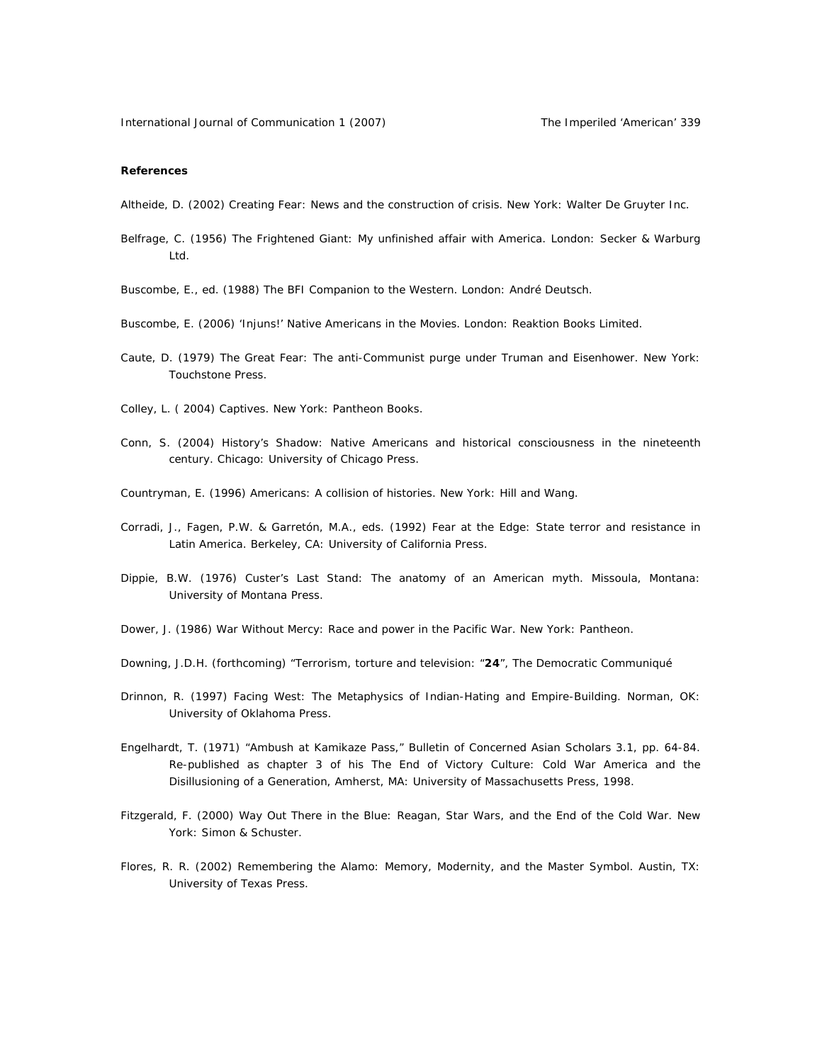#### **References**

Altheide, D. (2002) *Creating Fear: News and the construction of crisis*. New York: Walter De Gruyter Inc.

- Belfrage, C. (1956) *The Frightened Giant: My unfinished affair with America*. London: Secker & Warburg Ltd.
- Buscombe, E., ed. (1988) *The BFI Companion to the Western*. London: André Deutsch.
- Buscombe, E. (2006) *'Injuns!' Native Americans in the Movies*. London: Reaktion Books Limited.
- Caute, D. (1979) *The Great Fear: The anti-Communist purge under Truman and Eisenhower*. New York: Touchstone Press.
- Colley, L. ( 2004) *Captives*. New York: Pantheon Books.
- Conn, S. (2004) *History's Shadow: Native Americans and historical consciousness in the nineteenth century*. Chicago: University of Chicago Press.
- Countryman, E. (1996) *Americans: A collision of histories*. New York: Hill and Wang.
- Corradi, J., Fagen, P.W. & Garretón, M.A., eds. (1992) *Fear at the Edge: State terror and resistance in Latin America*. Berkeley, CA: University of California Press.
- Dippie, B.W. (1976) *Custer's Last Stand: The anatomy of an American myth*. Missoula, Montana: University of Montana Press.
- Dower, J. (1986) *War Without Mercy: Race and power in the Pacific War*. New York: Pantheon.
- Downing, J.D.H. (forthcoming) "Terrorism, torture and television: "*24*", *The Democratic Communiqué*
- Drinnon, R. (1997) *Facing West: The Metaphysics of Indian-Hating and Empire-Building*. Norman, OK: University of Oklahoma Press.
- Engelhardt, T. (1971) "Ambush at Kamikaze Pass," *Bulletin of Concerned Asian Scholars* 3.1, pp. 64-84. Re-published as chapter 3 of his *The End of Victory Culture: Cold War America and the Disillusioning of a Generation*, Amherst, MA: University of Massachusetts Press, 1998.
- Fitzgerald, F. (2000) *Way Out There in the Blue: Reagan, Star Wars, and the End of the Cold War*. New York: Simon & Schuster.
- Flores, R. R. (2002) *Remembering the Alamo: Memory, Modernity, and the Master Symbol*. Austin, TX: University of Texas Press.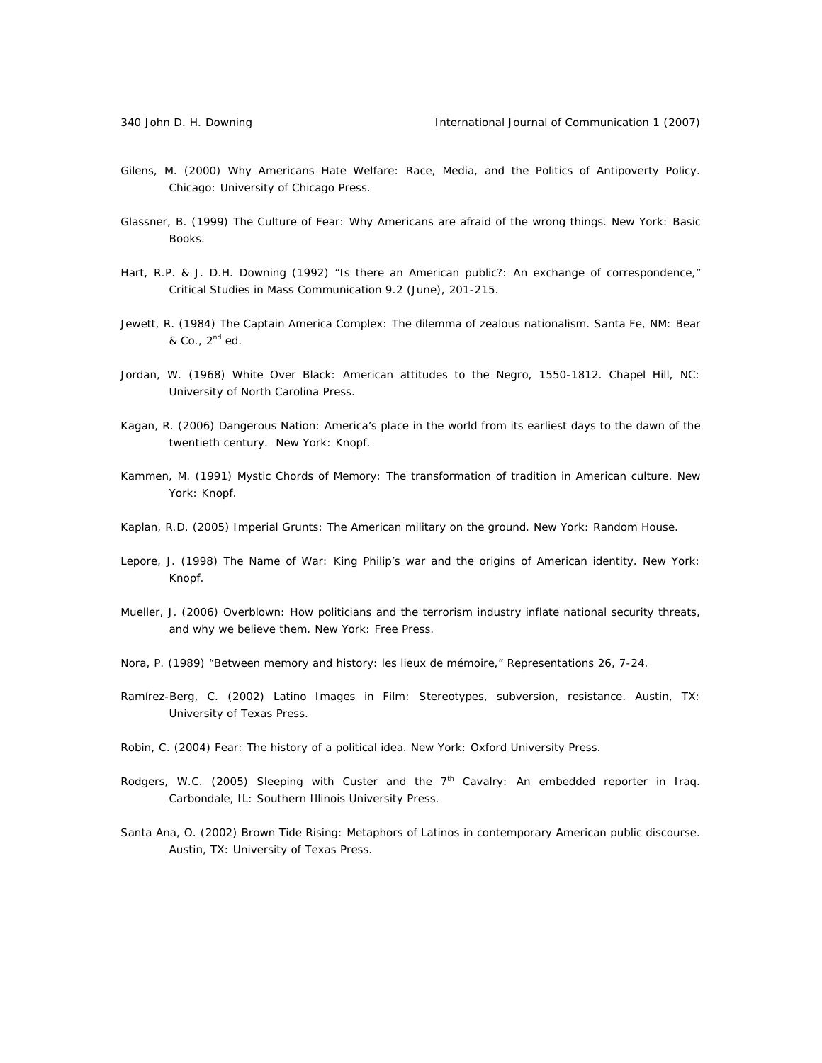- Gilens, M. (2000) *Why Americans Hate Welfare: Race, Media, and the Politics of Antipoverty Policy*. Chicago: University of Chicago Press.
- Glassner, B. (1999) *The Culture of Fear: Why Americans are afraid of the wrong things*. New York: Basic Books.
- Hart, R.P. & J. D.H. Downing (1992) "Is there an American public?: An exchange of correspondence," *Critical Studies in Mass Communication* 9.2 (June), 201-215.
- Jewett, R. (1984) *The Captain America Complex: The dilemma of zealous nationalism*. Santa Fe, NM: Bear & Co., 2nd ed.
- Jordan, W. (1968) *White Over Black: American attitudes to the Negro, 1550-1812*. Chapel Hill, NC: University of North Carolina Press.
- Kagan, R. (2006) *Dangerous Nation: America's place in the world from its earliest days to the dawn of the twentieth century*. New York: Knopf.
- Kammen, M. (1991) *Mystic Chords of Memory: The transformation of tradition in American culture*. New York: Knopf.
- Kaplan, R.D. (2005) *Imperial Grunts: The American military on the ground*. New York: Random House.
- Lepore, J. (1998) *The Name of War: King Philip's war and the origins of American identity*. New York: Knopf.
- Mueller, J. (2006) *Overblown: How politicians and the terrorism industry inflate national security threats, and why we believe them*. New York: Free Press.
- Nora, P. (1989) "Between memory and history: *les lieux de mémoire*," *Representations* 26, 7-24.
- Ramírez-Berg, C. (2002) *Latino Images in Film: Stereotypes, subversion, resistance*. Austin, TX: University of Texas Press.
- Robin, C. (2004) *Fear: The history of a political idea*. New York: Oxford University Press.
- Rodgers, W.C. (2005) *Sleeping with Custer and the 7th Cavalry: An embedded reporter in Iraq*. Carbondale, IL: Southern Illinois University Press.
- Santa Ana, O. (2002) *Brown Tide Rising: Metaphors of Latinos in contemporary American public discourse*. Austin, TX: University of Texas Press.